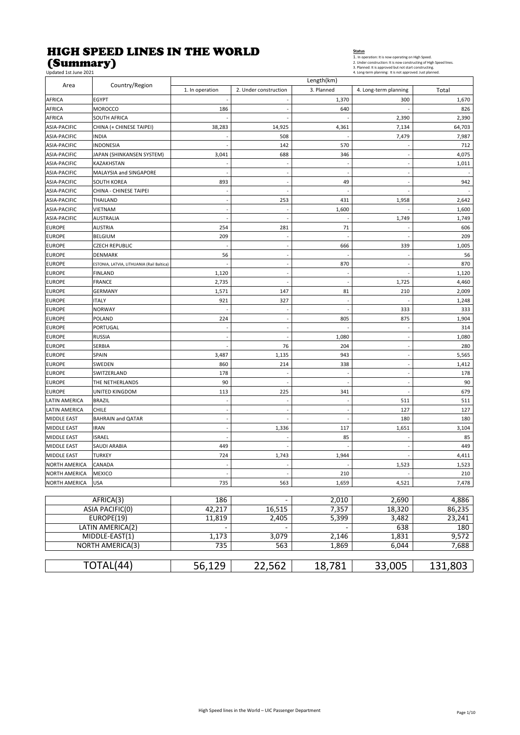#### HIGH SPEED LINES IN THE WORLD (Summary)

Status<br>1. In operation: It is now operating on High Speed.<br>2. Under construction: It is now constructing of High Speed lines<br>3. Planned: It is approved but not start constructing.<br>4. Long-term planning: It is not approved.

| Updated 1st June 2021  |                                              |                          |                          |                          | 4. Long-term planning: It is not approved. Just planned. |              |
|------------------------|----------------------------------------------|--------------------------|--------------------------|--------------------------|----------------------------------------------------------|--------------|
| Area                   | Country/Region                               | 1. In operation          | 2. Under construction    | Length(km)<br>3. Planned |                                                          | Total        |
|                        |                                              |                          |                          |                          | 4. Long-term planning                                    |              |
| AFRICA                 | <b>EGYPT</b><br><b>MOROCCO</b>               | 186                      | $\overline{\phantom{a}}$ | 1,370<br>640             | 300                                                      | 1,670<br>826 |
| AFRICA                 | <b>SOUTH AFRICA</b>                          |                          |                          |                          | 2,390                                                    | 2,390        |
| AFRICA<br>ASIA-PACIFIC | CHINA (+ CHINESE TAIPEI)                     | 38,283                   | 14,925                   | 4,361                    | 7,134                                                    | 64,703       |
| ASIA-PACIFIC           | <b>INDIA</b>                                 |                          | 508                      |                          |                                                          |              |
|                        |                                              |                          |                          |                          | 7,479                                                    | 7,987        |
| ASIA-PACIFIC           | <b>INDONESIA</b>                             |                          | 142                      | 570                      |                                                          | 712          |
| <b>ASIA-PACIFIC</b>    | JAPAN (SHINKANSEN SYSTEM)                    | 3,041                    | 688                      | 346                      |                                                          | 4,075        |
| ASIA-PACIFIC           | KAZAKHSTAN                                   |                          | ÷,                       |                          |                                                          | 1,011        |
| <b>ASIA-PACIFIC</b>    | MALAYSIA and SINGAPORE                       |                          | $\overline{\phantom{a}}$ | ÷,                       |                                                          |              |
| <b>ASIA-PACIFIC</b>    | <b>SOUTH KOREA</b><br>CHINA - CHINESE TAIPEI | 893                      | Ĭ.<br>Ĭ.                 | 49                       |                                                          | 942          |
| ASIA-PACIFIC           |                                              |                          |                          |                          |                                                          |              |
| ASIA-PACIFIC           | THAILAND                                     | $\sim$                   | 253                      | 431                      | 1,958                                                    | 2,642        |
| ASIA-PACIFIC           | <b>VIETNAM</b>                               |                          |                          | 1,600                    |                                                          | 1,600        |
| ASIA-PACIFIC           | <b>AUSTRALIA</b>                             | $\sim$                   | Ĭ.                       |                          | 1,749                                                    | 1,749        |
| <b>EUROPE</b>          | <b>AUSTRIA</b>                               | 254                      | 281                      | 71                       |                                                          | 606          |
| <b>EUROPE</b>          | <b>BELGIUM</b>                               | 209                      | $\frac{1}{2}$            |                          |                                                          | 209          |
| <b>EUROPE</b>          | <b>CZECH REPUBLIC</b>                        |                          | $\blacksquare$           | 666                      | 339                                                      | 1,005        |
| <b>EUROPE</b>          | <b>DENMARK</b>                               | 56                       | $\sim$                   |                          |                                                          | 56           |
| <b>EUROPE</b>          | ESTONIA, LATVIA, LITHUANIA (Rail Baltica)    |                          | $\blacksquare$           | 870                      |                                                          | 870          |
| <b>EUROPE</b>          | <b>FINLAND</b>                               | 1,120                    | $\sim$                   | ä,                       |                                                          | 1,120        |
| <b>EUROPE</b>          | <b>FRANCE</b>                                | 2,735                    |                          |                          | 1,725                                                    | 4,460        |
| <b>EUROPE</b>          | <b>GERMANY</b>                               | 1,571                    | 147                      | 81                       | 210                                                      | 2,009        |
| <b>EUROPE</b>          | <b>ITALY</b>                                 | 921                      | 327                      |                          |                                                          | 1,248        |
| <b>EUROPE</b>          | <b>NORWAY</b>                                |                          | $\overline{\phantom{a}}$ |                          | 333                                                      | 333          |
| <b>EUROPE</b>          | <b>POLAND</b>                                | 224                      | ÷,                       | 805                      | 875                                                      | 1,904        |
| <b>EUROPE</b>          | <b>PORTUGAL</b>                              |                          | $\sim$                   |                          |                                                          | 314          |
| <b>EUROPE</b>          | <b>RUSSIA</b>                                |                          | J.                       | 1,080                    |                                                          | 1,080        |
| <b>EUROPE</b>          | <b>SERBIA</b>                                | ÷.                       | 76                       | 204                      | $\overline{\phantom{a}}$                                 | 280          |
| <b>EUROPE</b>          | SPAIN                                        | 3,487                    | 1,135                    | 943                      |                                                          | 5,565        |
| <b>EUROPE</b>          | SWEDEN                                       | 860                      | 214                      | 338                      |                                                          | 1,412        |
| <b>EUROPE</b>          | SWITZERLAND                                  | 178                      | Ĭ.                       |                          |                                                          | 178          |
| <b>EUROPE</b>          | THE NETHERLANDS                              | 90                       |                          |                          |                                                          | 90           |
| <b>EUROPE</b>          | UNITED KINGDOM                               | 113                      | 225                      | 341                      |                                                          | 679          |
| <b>LATIN AMERICA</b>   | <b>BRAZIL</b>                                |                          | ÷,                       |                          | 511                                                      | 511          |
| <b>LATIN AMERICA</b>   | <b>CHILE</b>                                 |                          | L,                       |                          | 127                                                      | 127          |
| <b>MIDDLE EAST</b>     | <b>BAHRAIN and QATAR</b>                     |                          | Ĭ.                       | ÷,                       | 180                                                      | 180          |
| <b>MIDDLE EAST</b>     | <b>IRAN</b>                                  | $\sim$                   | 1,336                    | 117                      | 1,651                                                    | 3,104        |
| <b>MIDDLE EAST</b>     | <b>ISRAEL</b>                                |                          |                          | 85                       |                                                          | 85           |
| <b>MIDDLE EAST</b>     | SAUDI ARABIA                                 | 449                      | ä,                       |                          | $\overline{a}$                                           | 449          |
| <b>MIDDLE EAST</b>     | <b>TURKEY</b>                                | 724                      | 1,743                    | 1,944                    |                                                          | 4,411        |
| NORTH AMERICA          | CANADA                                       |                          |                          |                          | 1,523                                                    | 1,523        |
| <b>NORTH AMERICA</b>   | MEXICO                                       |                          |                          | 210                      |                                                          | 210          |
| <b>NORTH AMERICA</b>   | <b>USA</b>                                   | 735                      | 563                      | 1,659                    | 4,521                                                    | 7,478        |
|                        |                                              |                          |                          |                          |                                                          |              |
|                        | AFRICA(3)                                    | 186                      |                          | 2,010                    | 2,690                                                    | 4,886        |
|                        | ASIA PACIFIC(0)                              | 42,217                   | 16,515                   | 7,357                    | 18,320                                                   | 86,235       |
|                        | EUROPE(19)                                   | 11,819                   | 2,405                    | 5,399                    | 3,482                                                    | 23,241       |
|                        | LATIN AMERICA(2)                             | $\overline{\phantom{a}}$ | $\overline{\phantom{a}}$ |                          | 638                                                      | 180          |
|                        | MIDDLE-EAST(1)                               | 1,173                    | 3,079                    | 2,146                    | 1,831                                                    | 9,572        |
|                        | <b>NORTH AMERICA(3)</b>                      | 735                      | 563                      | 1,869                    | 6,044                                                    | 7,688        |
|                        |                                              |                          |                          |                          |                                                          |              |
|                        | TOTAL(44)                                    | 56,129                   | 22,562                   | 18,781                   | 33,005                                                   | 131,803      |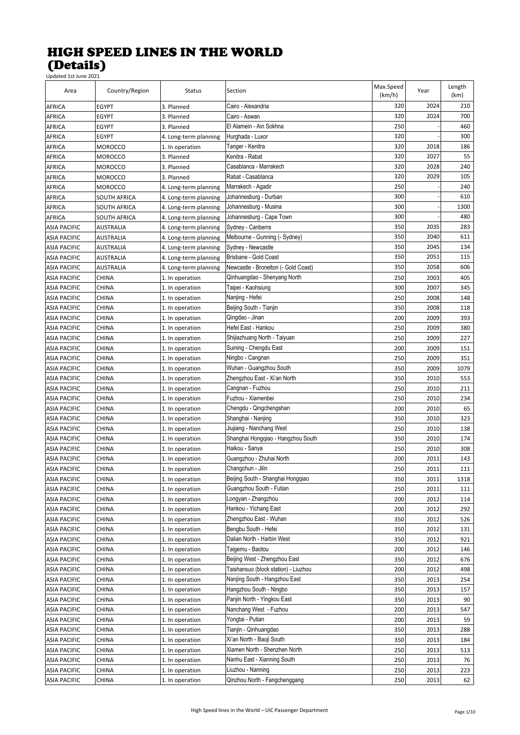| Area                | Country/Region   | Status                | Section                              | Max.Speed<br>(km/h) | Year | Length<br>(km) |
|---------------------|------------------|-----------------------|--------------------------------------|---------------------|------|----------------|
| AFRICA              | EGYPT            | 3. Planned            | Cairo - Alexandria                   | 320                 | 2024 | 210            |
| <b>AFRICA</b>       | <b>EGYPT</b>     | 3. Planned            | Cairo - Aswan                        | 320                 | 2024 | 700            |
| <b>AFRICA</b>       | <b>EGYPT</b>     | 3. Planned            | El Alamein - Ain Sokhna              | 250                 |      | 460            |
| <b>AFRICA</b>       | <b>EGYPT</b>     | 4. Long-term planning | Hurghada - Luxor                     | 320                 |      | 300            |
| <b>AFRICA</b>       | <b>MOROCCO</b>   | 1. In operation       | Tanger - Kenitra                     | 320                 | 2018 | 186            |
| <b>AFRICA</b>       | <b>MOROCCO</b>   | 3. Planned            | Kenitra - Rabat                      | 320                 | 2027 | 55             |
| <b>AFRICA</b>       | <b>MOROCCO</b>   | 3. Planned            | Casablanca - Marrakech               | 320                 | 2028 | 240            |
| <b>AFRICA</b>       | <b>MOROCCO</b>   | 3. Planned            | Rabat - Casablanca                   | 320                 | 2029 | 105            |
| <b>AFRICA</b>       | <b>MOROCCO</b>   | 4. Long-term planning | Marrakech - Agadir                   | 250                 |      | 240            |
| <b>AFRICA</b>       | SOUTH AFRICA     | 4. Long-term planning | Johannesburg - Durban                | 300                 |      | 610            |
| <b>AFRICA</b>       | SOUTH AFRICA     | 4. Long-term planning | Johannesburg - Musina                | 300                 |      | 1300           |
| <b>AFRICA</b>       | SOUTH AFRICA     | 4. Long-term planning | Johannesburg - Cape Town             | 300                 |      | 480            |
| ASIA PACIFIC        | AUSTRALIA        | 4. Long-term planning | Sydney - Canberra                    | 350                 | 2035 | 283            |
| <b>ASIA PACIFIC</b> | AUSTRALIA        | 4. Long-term planning | Melbourne - Gunning (- Sydney)       | 350                 | 2040 | 611            |
| <b>ASIA PACIFIC</b> | AUSTRALIA        | 4. Long-term planning | Sydney - Newcastle                   | 350                 | 2045 | 134            |
| <b>ASIA PACIFIC</b> | <b>AUSTRALIA</b> | 4. Long-term planning | Brisbane - Gold Coast                | 350                 | 2051 | 115            |
| <b>ASIA PACIFIC</b> | <b>AUSTRALIA</b> | 4. Long-term planning | Newcastle - Bronelton (- Gold Coast) | 350                 | 2058 | 606            |
| <b>ASIA PACIFIC</b> | <b>CHINA</b>     | 1. In operation       | Qinhuangdao - Shenyang North         | 250                 | 2003 | 405            |
| ASIA PACIFIC        | <b>CHINA</b>     | 1. In operation       | Taipei - Kaohsiung                   | 300                 | 2007 | 345            |
| ASIA PACIFIC        | <b>CHINA</b>     | 1. In operation       | Nanjing - Hefei                      | 250                 | 2008 | 148            |
| <b>ASIA PACIFIC</b> | <b>CHINA</b>     | 1. In operation       | Beijing South - Tianjin              | 350                 | 2008 | 118            |
| <b>ASIA PACIFIC</b> | <b>CHINA</b>     | 1. In operation       | Qingdao - Jinan                      | 200                 | 2009 | 393            |
| ASIA PACIFIC        | <b>CHINA</b>     | 1. In operation       | Hefei East - Hankou                  | 250                 | 2009 | 380            |
| <b>ASIA PACIFIC</b> | <b>CHINA</b>     | 1. In operation       | Shijiazhuang North - Taiyuan         | 250                 | 2009 | 227            |
| ASIA PACIFIC        | <b>CHINA</b>     | 1. In operation       | Suining - Chengdu East               | 200                 | 2009 | 151            |
| ASIA PACIFIC        | <b>CHINA</b>     | 1. In operation       | Ningbo - Cangnan                     | 250                 | 2009 | 351            |
| ASIA PACIFIC        | CHINA            | 1. In operation       | Wuhan - Guangzhou South              | 350                 | 2009 | 1079           |
| ASIA PACIFIC        | <b>CHINA</b>     | 1. In operation       | Zhengzhou East - Xi'an North         | 350                 | 2010 | 553            |
| ASIA PACIFIC        | <b>CHINA</b>     | 1. In operation       | Cangnan - Fuzhou                     | 250                 | 2010 | 211            |
| ASIA PACIFIC        | <b>CHINA</b>     | 1. In operation       | Fuzhou - Xiamenbei                   | 250                 | 2010 | 234            |
| ASIA PACIFIC        | <b>CHINA</b>     | 1. In operation       | Chengdu - Qingchengshan              | 200                 | 2010 | 65             |
| <b>ASIA PACIFIC</b> | <b>CHINA</b>     | 1. In operation       | Shanghai - Nanjing                   | 350                 | 2010 | 323            |
| <b>ASIA PACIFIC</b> | <b>CHINA</b>     | 1. In operation       | Jiujiang - Nanchang West             | 250                 | 2010 | 138            |
| <b>ASIA PACIFIC</b> | <b>CHINA</b>     | 1. In operation       | Shanghai Hongqiao - Hangzhou South   | 350                 | 2010 | 174            |
| <b>ASIA PACIFIC</b> | <b>CHINA</b>     | 1. In operation       | Haikou - Sanya                       | 250                 | 2010 | 308            |
| <b>ASIA PACIFIC</b> | <b>CHINA</b>     | 1. In operation       | Guangzhou - Zhuhai North             | 200                 | 2011 | 143            |
| ASIA PACIFIC        | CHINA            | 1. In operation       | Changchun - Jilin                    | 250                 | 2011 | 111            |
| <b>ASIA PACIFIC</b> | CHINA            | 1. In operation       | Beijing South - Shanghai Hongqiao    | 350                 | 2011 | 1318           |
| <b>ASIA PACIFIC</b> | CHINA            | 1. In operation       | Guangzhou South - Futian             | 250                 | 2011 | 111            |
| <b>ASIA PACIFIC</b> | CHINA            | 1. In operation       | Longyan - Zhangzhou                  | 200                 | 2012 | 114            |
| ASIA PACIFIC        | CHINA            | 1. In operation       | Hankou - Yichang East                | 200                 | 2012 | 292            |
| ASIA PACIFIC        | <b>CHINA</b>     | 1. In operation       | Zhengzhou East - Wuhan               | 350                 | 2012 | 526            |
| <b>ASIA PACIFIC</b> | <b>CHINA</b>     | 1. In operation       | Bengbu South - Hefei                 | 350                 | 2012 | 131            |
| ASIA PACIFIC        | <b>CHINA</b>     | 1. In operation       | Dalian North - Harbin West           | 350                 | 2012 | 921            |
| ASIA PACIFIC        | CHINA            | 1. In operation       | Taigemu - Baotou                     | 200                 | 2012 | 146            |
| ASIA PACIFIC        | <b>CHINA</b>     | 1. In operation       | Beijing West - Zhengzhou East        | 350                 | 2012 | 676            |
| ASIA PACIFIC        | <b>CHINA</b>     | 1. In operation       | Taishansuo (block station) - Liuzhou | 200                 | 2012 | 498            |
| ASIA PACIFIC        | CHINA            | 1. In operation       | Nanjing South - Hangzhou East        | 350                 | 2013 | 254            |
| <b>ASIA PACIFIC</b> | CHINA            | 1. In operation       | Hangzhou South - Ningbo              | 350                 | 2013 | 157            |
| ASIA PACIFIC        | <b>CHINA</b>     | 1. In operation       | Panjin North - Yingkou East          | 350                 | 2013 | 90             |
| ASIA PACIFIC        | CHINA            | 1. In operation       | Nanchang West - Fuzhou               | 200                 | 2013 | 547            |
| ASIA PACIFIC        | CHINA            | 1. In operation       | Yongtai - Putian                     | 200                 | 2013 | 59             |
| ASIA PACIFIC        | CHINA            | 1. In operation       | Tianjin - Qinhuangdao                | 350                 | 2013 | 288            |
| ASIA PACIFIC        | CHINA            | 1. In operation       | Xi'an North - Baoji South            | 350                 | 2013 | 184            |
| ASIA PACIFIC        | <b>CHINA</b>     | 1. In operation       | Xiamen North - Shenzhen North        | 250                 | 2013 | 513            |
| <b>ASIA PACIFIC</b> | <b>CHINA</b>     | 1. In operation       | Nanhu East - Xianning South          | 250                 | 2013 | 76             |
| ASIA PACIFIC        | <b>CHINA</b>     | 1. In operation       | Liuzhou - Nanning                    | 250                 | 2013 | 223            |
| ASIA PACIFIC        | <b>CHINA</b>     | 1. In operation       | Qinzhou North - Fangchenggang        | 250                 | 2013 | 62             |
|                     |                  |                       |                                      |                     |      |                |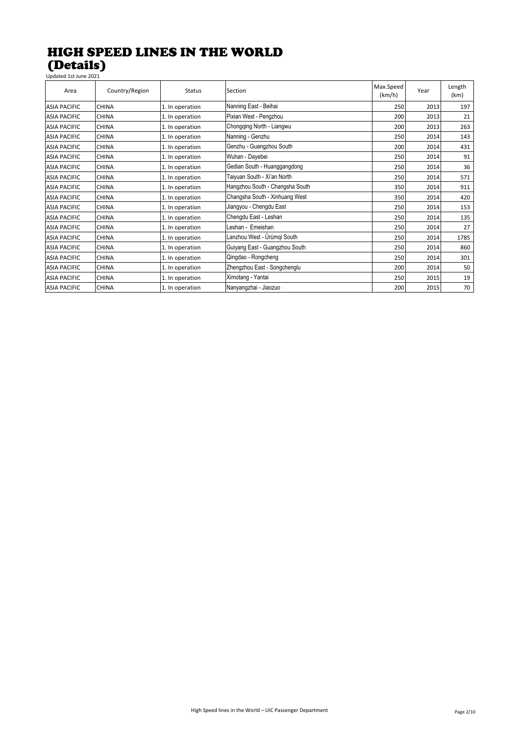| Updated 1st June 2021 |                |                 |                                 |                     |      |                |
|-----------------------|----------------|-----------------|---------------------------------|---------------------|------|----------------|
| Area                  | Country/Region | <b>Status</b>   | Section                         | Max.Speed<br>(km/h) | Year | Length<br>(km) |
| <b>ASIA PACIFIC</b>   | <b>CHINA</b>   | 1. In operation | Nanning East - Beihai           | 250                 | 2013 | 197            |
| <b>ASIA PACIFIC</b>   | <b>CHINA</b>   | 1. In operation | Pixian West - Pengzhou          | 200                 | 2013 | 21             |
| <b>ASIA PACIFIC</b>   | <b>CHINA</b>   | 1. In operation | Chongqing North - Liangwu       | 200                 | 2013 | 263            |
| <b>ASIA PACIFIC</b>   | <b>CHINA</b>   | 1. In operation | Nanning - Genzhu                | 250                 | 2014 | 143            |
| <b>ASIA PACIFIC</b>   | <b>CHINA</b>   | 1. In operation | Genzhu - Guangzhou South        | 200                 | 2014 | 431            |
| <b>ASIA PACIFIC</b>   | <b>CHINA</b>   | 1. In operation | Wuhan - Dayebei                 | 250                 | 2014 | 91             |
| <b>ASIA PACIFIC</b>   | <b>CHINA</b>   | 1. In operation | Gedian South - Huanggangdong    | 250                 | 2014 | 36             |
| <b>ASIA PACIFIC</b>   | <b>CHINA</b>   | 1. In operation | Taiyuan South - Xi'an North     | 250                 | 2014 | 571            |
| <b>ASIA PACIFIC</b>   | <b>CHINA</b>   | 1. In operation | Hangzhou South - Changsha South | 350                 | 2014 | 911            |
| <b>ASIA PACIFIC</b>   | <b>CHINA</b>   | 1. In operation | Changsha South - Xinhuang West  | 350                 | 2014 | 420            |
| <b>ASIA PACIFIC</b>   | <b>CHINA</b>   | 1. In operation | Jiangyou - Chengdu East         | 250                 | 2014 | 153            |
| <b>ASIA PACIFIC</b>   | <b>CHINA</b>   | 1. In operation | Chengdu East - Leshan           | 250                 | 2014 | 135            |
| <b>ASIA PACIFIC</b>   | <b>CHINA</b>   | 1. In operation | Leshan - Emeishan               | 250                 | 2014 | 27             |
| <b>ASIA PACIFIC</b>   | <b>CHINA</b>   | 1. In operation | Lanzhou West - Ürümgi South     | 250                 | 2014 | 1785           |
| <b>ASIA PACIFIC</b>   | <b>CHINA</b>   | 1. In operation | Guiyang East - Guangzhou South  | 250                 | 2014 | 860            |
| <b>ASIA PACIFIC</b>   | <b>CHINA</b>   | 1. In operation | Qingdao - Rongcheng             | 250                 | 2014 | 301            |
| <b>ASIA PACIFIC</b>   | <b>CHINA</b>   | 1. In operation | Zhengzhou East - Songchenglu    | 200                 | 2014 | 50             |
| <b>ASIA PACIFIC</b>   | <b>CHINA</b>   | 1. In operation | Ximotang - Yantai               | 250                 | 2015 | 19             |
| <b>ASIA PACIFIC</b>   | <b>CHINA</b>   | 1. In operation | Nanyangzhai - Jiaozuo           | 200                 | 2015 | 70             |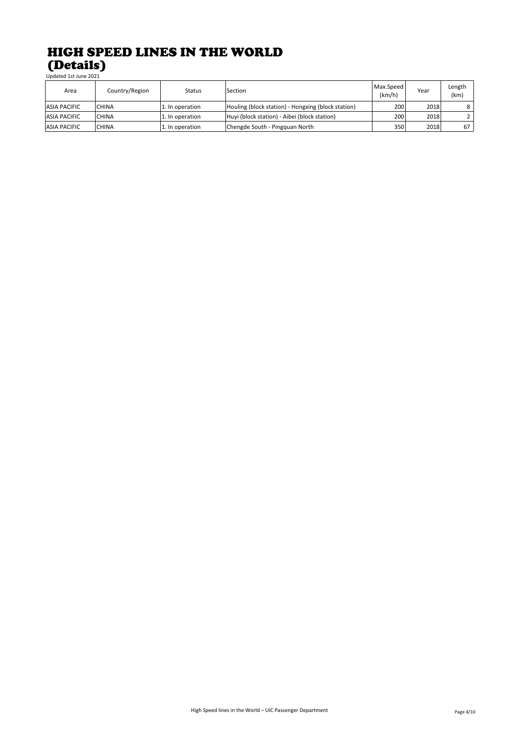| Area                | Country/Region | <b>Status</b>   | Section                                            | Max.Speed<br>(km/h) | Year | Length<br>(km) |
|---------------------|----------------|-----------------|----------------------------------------------------|---------------------|------|----------------|
| <b>ASIA PACIFIC</b> | <b>CHINA</b>   | 1. In operation | Houling (block station) - Hongxing (block station) | 200                 | 2018 | 8              |
| <b>ASIA PACIFIC</b> | <b>CHINA</b>   | 1. In operation | Huyi (block station) - Aibei (block station)       | 200                 | 2018 |                |
| <b>ASIA PACIFIC</b> | <b>CHINA</b>   | 1. In operation | Chengde South - Pingquan North                     | 350                 | 2018 | 67             |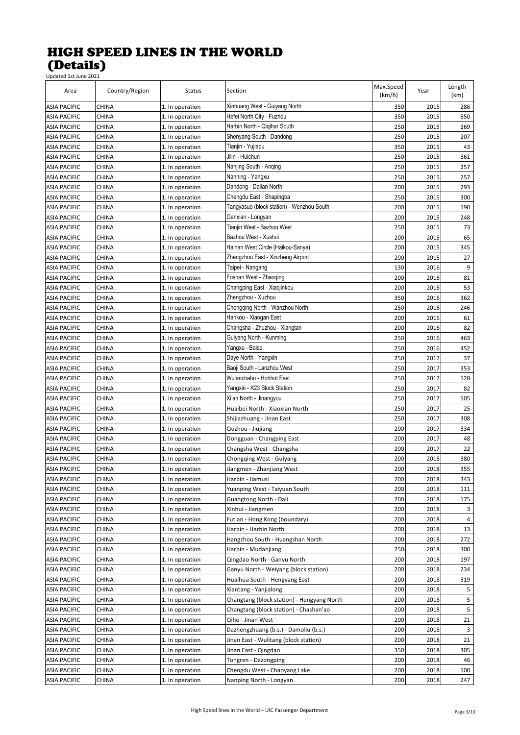| Area                | Country/Region | <b>Status</b>   | Section                                    | Max.Speed<br>(km/h) | Year | Length<br>(km) |
|---------------------|----------------|-----------------|--------------------------------------------|---------------------|------|----------------|
| ASIA PACIFIC        | <b>CHINA</b>   | 1. In operation | Xinhuang West - Guiyang North              | 350                 | 2015 | 286            |
| <b>ASIA PACIFIC</b> | <b>CHINA</b>   | 1. In operation | Hefei North City - Fuzhou                  | 350                 | 2015 | 850            |
| ASIA PACIFIC        | <b>CHINA</b>   | 1. In operation | Harbin North - Qigihar South               | 250                 | 2015 | 269            |
| ASIA PACIFIC        | <b>CHINA</b>   | 1. In operation | Shenyang South - Dandong                   | 250                 | 2015 | 207            |
| <b>ASIA PACIFIC</b> | <b>CHINA</b>   | 1. In operation | Tianjin - Yujiapu                          | 350                 | 2015 | 43             |
| ASIA PACIFIC        | <b>CHINA</b>   | 1. In operation | Jilin - Huichun                            | 250                 | 2015 | 361            |
| ASIA PACIFIC        | <b>CHINA</b>   | 1. In operation | Nanjing South - Anging                     | 250                 | 2015 | 257            |
| <b>ASIA PACIFIC</b> | <b>CHINA</b>   | 1. In operation | Nanning - Yangxu                           | 250                 | 2015 | 257            |
| <b>ASIA PACIFIC</b> | <b>CHINA</b>   | 1. In operation | Dandong - Dalian North                     | 200                 | 2015 | 293            |
| ASIA PACIFIC        | <b>CHINA</b>   | 1. In operation | Chengdu East - Shapingba                   | 250                 | 2015 | 300            |
| <b>ASIA PACIFIC</b> | <b>CHINA</b>   | 1. In operation | Tangyasuo (block station) - Wenzhou South  | 200                 | 2015 | 190            |
| <b>ASIA PACIFIC</b> | <b>CHINA</b>   | 1. In operation | Ganxian - Longyan                          | 200                 | 2015 | 248            |
| ASIA PACIFIC        | <b>CHINA</b>   | 1. In operation | Tianjin West - Bazhou West                 | 250                 | 2015 | 73             |
| ASIA PACIFIC        | <b>CHINA</b>   | 1. In operation | Bazhou West - Xushui                       | 200                 | 2015 | 65             |
| <b>ASIA PACIFIC</b> | <b>CHINA</b>   | 1. In operation | Hainan West Circle (Haikou-Sanya)          | 200                 | 2015 | 345            |
| <b>ASIA PACIFIC</b> | <b>CHINA</b>   | 1. In operation | Zhengzhou East - Xinzheng Airport          | 200                 | 2015 | 27             |
| ASIA PACIFIC        | <b>CHINA</b>   | 1. In operation | Taipei - Nangang                           | 130                 | 2016 | 9              |
| <b>ASIA PACIFIC</b> | <b>CHINA</b>   | 1. In operation | Foshan West - Zhaoging                     | 200                 | 2016 | 81             |
| <b>ASIA PACIFIC</b> | <b>CHINA</b>   | 1. In operation | Changping East - Xiaojinkou                | 200                 | 2016 | 53             |
| ASIA PACIFIC        | <b>CHINA</b>   | 1. In operation | Zhengzhou - Xuzhou                         | 350                 | 2016 | 362            |
| <b>ASIA PACIFIC</b> | <b>CHINA</b>   | 1. In operation | Chongqing North - Wanzhou North            | 250                 | 2016 | 246            |
| <b>ASIA PACIFIC</b> | <b>CHINA</b>   | 1. In operation | Hankou - Xiaogan East                      | 200                 | 2016 | 61             |
| <b>ASIA PACIFIC</b> | <b>CHINA</b>   | 1. In operation | Changsha - Zhuzhou - Xiangtan              | 200                 | 2016 | 82             |
| <b>ASIA PACIFIC</b> | <b>CHINA</b>   | 1. In operation | Guiyang North - Kunming                    | 250                 | 2016 | 463            |
| ASIA PACIFIC        | <b>CHINA</b>   | 1. In operation | Yangxu - Baise                             | 250                 | 2016 | 452            |
| ASIA PACIFIC        | <b>CHINA</b>   | 1. In operation | Daye North - Yangxin                       | 250                 | 2017 | 37             |
| <b>ASIA PACIFIC</b> | <b>CHINA</b>   | 1. In operation | Baoji South - Lanzhou West                 | 250                 | 2017 | 353            |
| ASIA PACIFIC        | <b>CHINA</b>   | 1. In operation | Wulanchabu - Hohhot East                   | 250                 | 2017 | 128            |
| ASIA PACIFIC        | <b>CHINA</b>   | 1. In operation | Yangxin - K23 Block Station                | 250                 | 2017 | 82             |
| ASIA PACIFIC        | <b>CHINA</b>   | 1. In operation | Xi'an North - Jinangyou                    | 250                 | 2017 | 505            |
| <b>ASIA PACIFIC</b> | <b>CHINA</b>   | 1. In operation | Huaibei North - Xiaoxian North             | 250                 | 2017 | 25             |
| ASIA PACIFIC        | <b>CHINA</b>   | 1. In operation | Shijiazhuang - Jinan East                  | 250                 | 2017 | 308            |
| ASIA PACIFIC        | <b>CHINA</b>   | 1. In operation | Quzhou - Jiujiang                          | 200                 | 2017 | 334            |
| <b>ASIA PACIFIC</b> | <b>CHINA</b>   | 1. In operation | Dongguan - Changping East                  | 200                 | 2017 | 48             |
| <b>ASIA PACIFIC</b> | <b>CHINA</b>   | 1. In operation | Changsha West - Changsha                   | 200                 | 2017 | 22             |
| ASIA PACIFIC        | <b>CHINA</b>   | 1. In operation | Chongqing West - Guiyang                   | 200                 | 2018 | 380            |
| ASIA PACIFIC        | <b>CHINA</b>   | 1. In operation | Jiangmen - Zhanjiang West                  | 200                 | 2018 | 355            |
| <b>ASIA PACIFIC</b> | <b>CHINA</b>   | 1. In operation | Harbin - Jiamusi                           | 200                 | 2018 | 343            |
| <b>ASIA PACIFIC</b> | CHINA          | 1. In operation | Yuanping West - Taiyuan South              | 200                 | 2018 | 111            |
| <b>ASIA PACIFIC</b> | CHINA          | 1. In operation | Guangtong North - Dali                     | 200                 | 2018 | 175            |
| <b>ASIA PACIFIC</b> | <b>CHINA</b>   | 1. In operation | Xinhui - Jiangmen                          | 200                 | 2018 | 3              |
| <b>ASIA PACIFIC</b> | <b>CHINA</b>   | 1. In operation | Futian - Hong Kong (boundary)              | 200                 | 2018 | 4              |
| <b>ASIA PACIFIC</b> | <b>CHINA</b>   | 1. In operation | Harbin - Harbin North                      | 200                 | 2018 | 13             |
| <b>ASIA PACIFIC</b> | <b>CHINA</b>   | 1. In operation | Hangzhou South - Huangshan North           | 200                 | 2018 | 272            |
| ASIA PACIFIC        | <b>CHINA</b>   | 1. In operation | Harbin - Mudanjiang                        | 250                 | 2018 | 300            |
| <b>ASIA PACIFIC</b> | <b>CHINA</b>   | 1. In operation | Qingdao North - Ganyu North                | 200                 | 2018 | 197            |
| ASIA PACIFIC        | <b>CHINA</b>   | 1. In operation | Ganyu North - Weiyang (block station)      | 200                 | 2018 | 234            |
| ASIA PACIFIC        | <b>CHINA</b>   | 1. In operation | Huaihua South - Hengyang East              | 200                 | 2018 | 319            |
| <b>ASIA PACIFIC</b> | <b>CHINA</b>   | 1. In operation | Xiantang - Yanjialong                      | 200                 | 2018 | 5              |
| <b>ASIA PACIFIC</b> | <b>CHINA</b>   | 1. In operation | Changtang (block station) - Hengyang North | 200                 | 2018 | 5              |
| ASIA PACIFIC        | CHINA          | 1. In operation | Changtang (block station) - Chashan'ao     | 200                 | 2018 | 5              |
| ASIA PACIFIC        | CHINA          | 1. In operation | Qihe - Jinan West                          | 200                 | 2018 | 21             |
| ASIA PACIFIC        | <b>CHINA</b>   | 1. In operation | Dazhengzhuang (b.s.) - Damoliu (b.s.)      | 200                 | 2018 | 3              |
| ASIA PACIFIC        | <b>CHINA</b>   | 1. In operation | Jinan East - Wulitang (block station)      | 200                 | 2018 | 21             |
| ASIA PACIFIC        | <b>CHINA</b>   | 1. In operation | Jinan East - Qingdao                       | 350                 | 2018 | 305            |
| <b>ASIA PACIFIC</b> | <b>CHINA</b>   | 1. In operation | Tongren - Dazongping                       | 200                 | 2018 | 46             |
| <b>ASIA PACIFIC</b> | <b>CHINA</b>   | 1. In operation | Chengdu West - Chaoyang Lake               | 200                 | 2018 | 100            |
| ASIA PACIFIC        | <b>CHINA</b>   | 1. In operation | Nanping North - Longyan                    | 200                 | 2018 | 247            |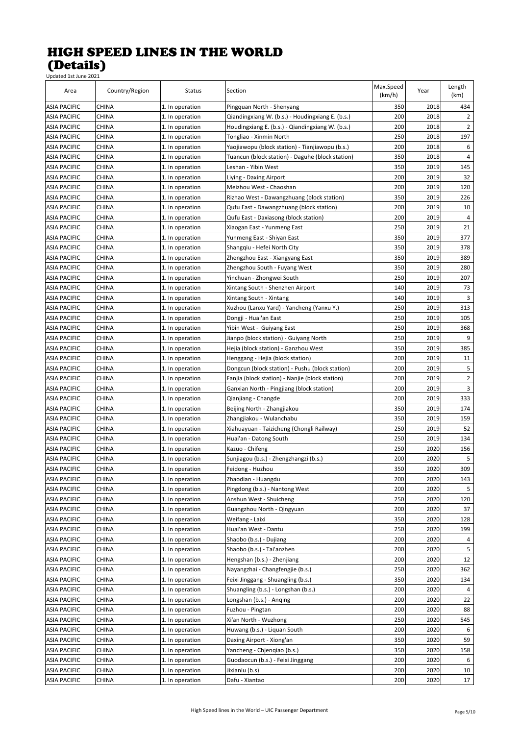| Area                | Country/Region | Status          | Section                                          | Max.Speed<br>(km/h) | Year | Length<br>(km) |
|---------------------|----------------|-----------------|--------------------------------------------------|---------------------|------|----------------|
| <b>ASIA PACIFIC</b> | <b>CHINA</b>   | 1. In operation | Pingquan North - Shenyang                        | 350                 | 2018 | 434            |
| ASIA PACIFIC        | <b>CHINA</b>   | 1. In operation | Qiandingxiang W. (b.s.) - Houdingxiang E. (b.s.) | 200                 | 2018 | 2              |
| <b>ASIA PACIFIC</b> | <b>CHINA</b>   | 1. In operation | Houdingxiang E. (b.s.) - Qiandingxiang W. (b.s.) | 200                 | 2018 | 2              |
| <b>ASIA PACIFIC</b> | <b>CHINA</b>   | 1. In operation | Tongliao - Xinmin North                          | 250                 | 2018 | 197            |
| <b>ASIA PACIFIC</b> | <b>CHINA</b>   | 1. In operation | Yaojiawopu (block station) - Tianjiawopu (b.s.)  | 200                 | 2018 | 6              |
| ASIA PACIFIC        | <b>CHINA</b>   | 1. In operation | Tuancun (block station) - Daguhe (block station) | 350                 | 2018 | 4              |
| ASIA PACIFIC        | CHINA          | 1. In operation | Leshan - Yibin West                              | 350                 | 2019 | 145            |
| ASIA PACIFIC        | CHINA          | 1. In operation | Liying - Daxing Airport                          | 200                 | 2019 | 32             |
| <b>ASIA PACIFIC</b> | CHINA          | 1. In operation | Meizhou West - Chaoshan                          | 200                 | 2019 | 120            |
| ASIA PACIFIC        | CHINA          | 1. In operation | Rizhao West - Dawangzhuang (block station)       | 350                 | 2019 | 226            |
| ASIA PACIFIC        | CHINA          | 1. In operation | Qufu East - Dawangzhuang (block station)         | 200                 | 2019 | 10             |
| ASIA PACIFIC        | CHINA          | 1. In operation | Qufu East - Daxiasong (block station)            | 200                 | 2019 | 4              |
| ASIA PACIFIC        | CHINA          | 1. In operation | Xiaogan East - Yunmeng East                      | 250                 | 2019 | 21             |
| ASIA PACIFIC        | CHINA          | 1. In operation | Yunmeng East - Shiyan East                       | 350                 | 2019 | 377            |
| ASIA PACIFIC        | <b>CHINA</b>   | 1. In operation | Shangqiu - Hefei North City                      | 350                 | 2019 | 378            |
| <b>ASIA PACIFIC</b> | <b>CHINA</b>   | 1. In operation | Zhengzhou East - Xiangyang East                  | 350                 | 2019 | 389            |
| ASIA PACIFIC        | CHINA          | 1. In operation | Zhengzhou South - Fuyang West                    | 350                 | 2019 | 280            |
| ASIA PACIFIC        | <b>CHINA</b>   | 1. In operation | Yinchuan - Zhongwei South                        | 250                 | 2019 | 207            |
| ASIA PACIFIC        | CHINA          | 1. In operation | Xintang South - Shenzhen Airport                 | 140                 | 2019 | 73             |
| ASIA PACIFIC        | CHINA          | 1. In operation | Xintang South - Xintang                          | 140                 | 2019 | 3              |
| ASIA PACIFIC        | CHINA          | 1. In operation | Xuzhou (Lanxu Yard) - Yancheng (Yanxu Y.)        | 250                 | 2019 | 313            |
| ASIA PACIFIC        | CHINA          | 1. In operation | Dongji - Huai'an East                            | 250                 | 2019 | 105            |
| <b>ASIA PACIFIC</b> | CHINA          | 1. In operation | Yibin West - Guiyang East                        | 250                 | 2019 | 368            |
| ASIA PACIFIC        | CHINA          | 1. In operation | Jianpo (block station) - Guiyang North           | 250                 | 2019 | 9              |
| ASIA PACIFIC        | CHINA          |                 |                                                  | 350                 | 2019 | 385            |
|                     |                | 1. In operation | Hejia (block station) - Ganzhou West             |                     |      |                |
| ASIA PACIFIC        | CHINA          | 1. In operation | Henggang - Hejia (block station)                 | 200                 | 2019 | 11             |
| ASIA PACIFIC        | CHINA          | 1. In operation | Dongcun (block station) - Pushu (block station)  | 200                 | 2019 | 5              |
| ASIA PACIFIC        | <b>CHINA</b>   | 1. In operation | Fanjia (block station) - Nanjie (block station)  | 200                 | 2019 | 2              |
| ASIA PACIFIC        | <b>CHINA</b>   | 1. In operation | Ganxian North - Pingjiang (block station)        | 200                 | 2019 | 3              |
| ASIA PACIFIC        | <b>CHINA</b>   | 1. In operation | Qianjiang - Changde                              | 200                 | 2019 | 333            |
| <b>ASIA PACIFIC</b> | <b>CHINA</b>   | 1. In operation | Beijing North - Zhangjiakou                      | 350                 | 2019 | 174            |
| <b>ASIA PACIFIC</b> | CHINA          | 1. In operation | Zhangjiakou - Wulanchabu                         | 350                 | 2019 | 159            |
| <b>ASIA PACIFIC</b> | CHINA          | 1. In operation | Xiahuayuan - Taizicheng (Chongli Railway)        | 250                 | 2019 | 52             |
| ASIA PACIFIC        | CHINA          | 1. In operation | Huai'an - Datong South                           | 250                 | 2019 | 134            |
| ASIA PACIFIC        | CHINA          | 1. In operation | Kazuo - Chifeng                                  | 250                 | 2020 | 156            |
| ASIA PACIFIC        | CHINA          | 1. In operation | Sunjiagou (b.s.) - Zhengzhangzi (b.s.)           | 200                 | 2020 | 5              |
| <b>ASIA PACIFIC</b> | <b>CHINA</b>   | 1. In operation | Feidong - Huzhou                                 | 350                 | 2020 | 309            |
| <b>ASIA PACIFIC</b> | <b>CHINA</b>   | 1. In operation | Zhaodian - Huangdu                               | 200                 | 2020 | 143            |
| <b>ASIA PACIFIC</b> | CHINA          | 1. In operation | Pingdong (b.s.) - Nantong West                   | 200                 | 2020 | 5              |
| <b>ASIA PACIFIC</b> | <b>CHINA</b>   | 1. In operation | Anshun West - Shuicheng                          | 250                 | 2020 | 120            |
| <b>ASIA PACIFIC</b> | <b>CHINA</b>   | 1. In operation | Guangzhou North - Qingyuan                       | 200                 | 2020 | 37             |
| <b>ASIA PACIFIC</b> | <b>CHINA</b>   | 1. In operation | Weifang - Laixi                                  | 350                 | 2020 | 128            |
| <b>ASIA PACIFIC</b> | <b>CHINA</b>   | 1. In operation | Huai'an West - Dantu                             | 250                 | 2020 | 199            |
| ASIA PACIFIC        | <b>CHINA</b>   | 1. In operation | Shaobo (b.s.) - Dujiang                          | 200                 | 2020 | 4              |
| ASIA PACIFIC        | CHINA          | 1. In operation | Shaobo (b.s.) - Tai'anzhen                       | 200                 | 2020 | 5              |
| <b>ASIA PACIFIC</b> | CHINA          | 1. In operation | Hengshan (b.s.) - Zhenjiang                      | 200                 | 2020 | 12             |
| ASIA PACIFIC        | CHINA          | 1. In operation | Nayangzhai - Changfengjie (b.s.)                 | 250                 | 2020 | 362            |
| ASIA PACIFIC        | CHINA          | 1. In operation | Feixi Jinggang - Shuangling (b.s.)               | 350                 | 2020 | 134            |
| <b>ASIA PACIFIC</b> | CHINA          | 1. In operation | Shuangling (b.s.) - Longshan (b.s.)              | 200                 | 2020 | 4              |
| <b>ASIA PACIFIC</b> | CHINA          | 1. In operation | Longshan (b.s.) - Anqing                         | 200                 | 2020 | 22             |
| ASIA PACIFIC        | CHINA          | 1. In operation | Fuzhou - Pingtan                                 | 200                 | 2020 | 88             |
| ASIA PACIFIC        | CHINA          | 1. In operation | Xi'an North - Wuzhong                            | 250                 | 2020 | 545            |
| <b>ASIA PACIFIC</b> | <b>CHINA</b>   | 1. In operation | Huwang (b.s.) - Liquan South                     | 200                 | 2020 | 6              |
| ASIA PACIFIC        | CHINA          | 1. In operation | Daxing Airport - Xiong'an                        | 350                 | 2020 | 59             |
| ASIA PACIFIC        | CHINA          | 1. In operation | Yancheng - Chjenqiao (b.s.)                      | 350                 | 2020 | 158            |
| ASIA PACIFIC        | CHINA          | 1. In operation | Guodaocun (b.s.) - Feixi Jinggang                | 200                 | 2020 | 6              |
| ASIA PACIFIC        | CHINA          | 1. In operation | Jixianlu (b.s)                                   | 200                 | 2020 | 10             |
| ASIA PACIFIC        | CHINA          | 1. In operation | Dafu - Xiantao                                   | 200                 | 2020 | 17             |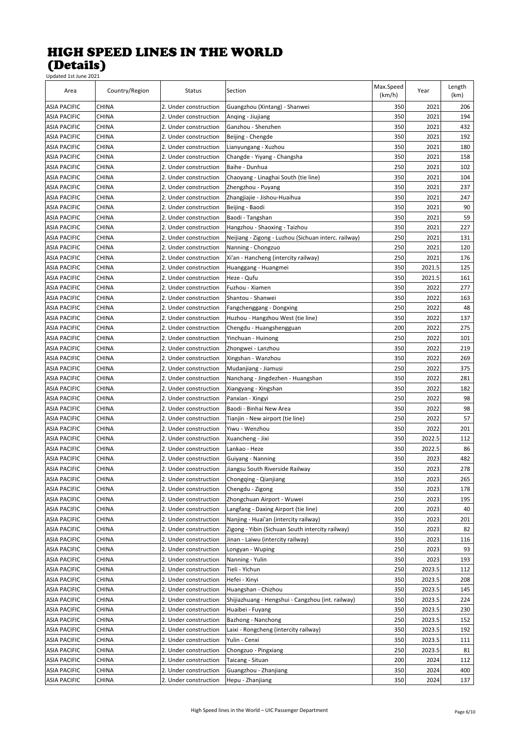| Area                | Country/Region | Status                                         | Section                                              | Max.Speed<br>(km/h) | Year   | Length<br>(km) |
|---------------------|----------------|------------------------------------------------|------------------------------------------------------|---------------------|--------|----------------|
| <b>ASIA PACIFIC</b> | CHINA          | 2. Under construction                          | Guangzhou (Xintang) - Shanwei                        | 350                 | 2021   | 206            |
| <b>ASIA PACIFIC</b> | <b>CHINA</b>   | 2. Under construction                          | Anqing - Jiujiang                                    | 350                 | 2021   | 194            |
| <b>ASIA PACIFIC</b> | <b>CHINA</b>   | 2. Under construction                          | Ganzhou - Shenzhen                                   | 350                 | 2021   | 432            |
| <b>ASIA PACIFIC</b> | CHINA          | 2. Under construction                          | Beijing - Chengde                                    | 350                 | 2021   | 192            |
| <b>ASIA PACIFIC</b> | <b>CHINA</b>   | 2. Under construction                          | Lianyungang - Xuzhou                                 | 350                 | 2021   | 180            |
| <b>ASIA PACIFIC</b> | CHINA          | 2. Under construction                          | Changde - Yiyang - Changsha                          | 350                 | 2021   | 158            |
| <b>ASIA PACIFIC</b> | CHINA          | 2. Under construction                          | Baihe - Dunhua                                       | 250                 | 2021   | 102            |
| <b>ASIA PACIFIC</b> | CHINA          | 2. Under construction                          | Chaoyang - Linaghai South (tie line)                 | 350                 | 2021   | 104            |
| <b>ASIA PACIFIC</b> | CHINA          | 2. Under construction                          | Zhengzhou - Puyang                                   | 350                 | 2021   | 237            |
| <b>ASIA PACIFIC</b> | CHINA          | 2. Under construction                          | Zhangjiajie - Jishou-Huaihua                         | 350                 | 2021   | 247            |
| <b>ASIA PACIFIC</b> | CHINA          | 2. Under construction                          | Beijing - Baodi                                      | 350                 | 2021   | 90             |
| <b>ASIA PACIFIC</b> | CHINA          | 2. Under construction                          | Baodi - Tangshan                                     | 350                 | 2021   | 59             |
| <b>ASIA PACIFIC</b> | CHINA          | 2. Under construction                          | Hangzhou - Shaoxing - Taizhou                        | 350                 | 2021   | 227            |
| <b>ASIA PACIFIC</b> | <b>CHINA</b>   | 2. Under construction                          | Neijiang - Zigong - Luzhou (Sichuan interc. railway) | 250                 | 2021   | 131            |
| <b>ASIA PACIFIC</b> | <b>CHINA</b>   | 2. Under construction                          | Nanning - Chongzuo                                   | 250                 | 2021   | 120            |
| <b>ASIA PACIFIC</b> | CHINA          | 2. Under construction                          | Xi'an - Hancheng (intercity railway)                 | 250                 | 2021   | 176            |
| <b>ASIA PACIFIC</b> | <b>CHINA</b>   | 2. Under construction                          | Huanggang - Huangmei                                 | 350                 | 2021.5 | 125            |
| <b>ASIA PACIFIC</b> | <b>CHINA</b>   | 2. Under construction                          | Heze - Qufu                                          | 350                 | 2021.5 | 161            |
| <b>ASIA PACIFIC</b> | CHINA          | 2. Under construction                          | Fuzhou - Xiamen                                      | 350                 | 2022   | 277            |
| <b>ASIA PACIFIC</b> | CHINA          | 2. Under construction                          | Shantou - Shanwei                                    | 350                 | 2022   | 163            |
| ASIA PACIFIC        | CHINA          | 2. Under construction                          | Fangchenggang - Dongxing                             | 250                 | 2022   | 48             |
| ASIA PACIFIC        | CHINA          | 2. Under construction                          | Huzhou - Hangzhou West (tie line)                    | 350                 | 2022   | 137            |
| <b>ASIA PACIFIC</b> | CHINA          | 2. Under construction                          | Chengdu - Huangshengguan                             | 200                 | 2022   | 275            |
| <b>ASIA PACIFIC</b> | CHINA          | 2. Under construction                          | Yinchuan - Huinong                                   | 250                 | 2022   | 101            |
|                     | CHINA          |                                                |                                                      | 350                 | 2022   | 219            |
| <b>ASIA PACIFIC</b> |                | 2. Under construction<br>2. Under construction | Zhongwei - Lanzhou                                   | 350                 | 2022   | 269            |
| <b>ASIA PACIFIC</b> | CHINA          |                                                | Xingshan - Wanzhou                                   |                     |        |                |
| <b>ASIA PACIFIC</b> | <b>CHINA</b>   | 2. Under construction                          | Mudanjiang - Jiamusi                                 | 250                 | 2022   | 375            |
| <b>ASIA PACIFIC</b> | CHINA          | 2. Under construction                          | Nanchang - Jingdezhen - Huangshan                    | 350                 | 2022   | 281            |
| <b>ASIA PACIFIC</b> | CHINA          | 2. Under construction                          | Xiangyang - Xingshan                                 | 350                 | 2022   | 182            |
| <b>ASIA PACIFIC</b> | <b>CHINA</b>   | 2. Under construction                          | Panxian - Xingyi                                     | 250                 | 2022   | 98             |
| <b>ASIA PACIFIC</b> | <b>CHINA</b>   | 2. Under construction                          | Baodi - Binhai New Area                              | 350                 | 2022   | 98             |
| <b>ASIA PACIFIC</b> | CHINA          | 2. Under construction                          | Tianjin - New airport (tie line)                     | 250                 | 2022   | 57             |
| <b>ASIA PACIFIC</b> | <b>CHINA</b>   | 2. Under construction                          | Yiwu - Wenzhou                                       | 350                 | 2022   | 201            |
| <b>ASIA PACIFIC</b> | <b>CHINA</b>   | 2. Under construction                          | Xuancheng - Jixi                                     | 350                 | 2022.5 | 112            |
| <b>ASIA PACIFIC</b> | CHINA          | 2. Under construction                          | Lankao - Heze                                        | 350                 | 2022.5 | 86             |
| <b>ASIA PACIFIC</b> | CHINA          | 2. Under construction                          | Guiyang - Nanning                                    | 350                 | 2023   | 482            |
| <b>ASIA PACIFIC</b> | CHINA          | 2. Under construction                          | Jiangsu South Riverside Railway                      | 350                 | 2023   | 278            |
| <b>ASIA PACIFIC</b> | <b>CHINA</b>   | 2. Under construction                          | Chongqing - Qianjiang                                | 350                 | 2023   | 265            |
| <b>ASIA PACIFIC</b> | CHINA          | 2. Under construction                          | Chengdu - Zigong                                     | 350                 | 2023   | 178            |
| <b>ASIA PACIFIC</b> | CHINA          | 2. Under construction                          | Zhongchuan Airport - Wuwei                           | 250                 | 2023   | 195            |
| <b>ASIA PACIFIC</b> | CHINA          | 2. Under construction                          | Langfang - Daxing Airport (tie line)                 | 200                 | 2023   | 40             |
| <b>ASIA PACIFIC</b> | CHINA          | 2. Under construction                          | Nanjing - Huai'an (intercity railway)                | 350                 | 2023   | 201            |
| <b>ASIA PACIFIC</b> | CHINA          | 2. Under construction                          | Zigong - Yibin (Sichuan South intercity railway)     | 350                 | 2023   | 82             |
| <b>ASIA PACIFIC</b> | CHINA          | 2. Under construction                          | Jinan - Laiwu (intercity railway)                    | 350                 | 2023   | 116            |
| <b>ASIA PACIFIC</b> | CHINA          | 2. Under construction                          | Longyan - Wuping                                     | 250                 | 2023   | 93             |
| <b>ASIA PACIFIC</b> | CHINA          | 2. Under construction                          | Nanning - Yulin                                      | 350                 | 2023   | 193            |
| <b>ASIA PACIFIC</b> | CHINA          | 2. Under construction                          | Tieli - Yichun                                       | 250                 | 2023.5 | 112            |
| <b>ASIA PACIFIC</b> | CHINA          | 2. Under construction                          | Hefei - Xinyi                                        | 350                 | 2023.5 | 208            |
| <b>ASIA PACIFIC</b> | CHINA          | 2. Under construction                          | Huangshan - Chizhou                                  | 350                 | 2023.5 | 145            |
| <b>ASIA PACIFIC</b> | CHINA          | 2. Under construction                          | Shijiazhuang - Hengshui - Cangzhou (int. railway)    | 350                 | 2023.5 | 224            |
| <b>ASIA PACIFIC</b> | CHINA          | 2. Under construction                          | Huaibei - Fuyang                                     | 350                 | 2023.5 | 230            |
| <b>ASIA PACIFIC</b> | CHINA          | 2. Under construction                          | Bazhong - Nanchong                                   | 250                 | 2023.5 | 152            |
| <b>ASIA PACIFIC</b> | CHINA          | 2. Under construction                          | Laixi - Rongcheng (intercity railway)                | 350                 | 2023.5 | 192            |
| <b>ASIA PACIFIC</b> | CHINA          | 2. Under construction                          | Yulin - Cenxi                                        | 350                 | 2023.5 | 111            |
| <b>ASIA PACIFIC</b> | CHINA          | 2. Under construction                          | Chongzuo - Pingxiang                                 | 250                 | 2023.5 | 81             |
| <b>ASIA PACIFIC</b> | CHINA          | 2. Under construction                          | Taicang - Situan                                     | 200                 | 2024   | 112            |
| <b>ASIA PACIFIC</b> | CHINA          | 2. Under construction                          | Guangzhou - Zhanjiang                                | 350                 | 2024   | 400            |
| <b>ASIA PACIFIC</b> | CHINA          | 2. Under construction                          | Hepu - Zhanjiang                                     | 350                 | 2024   | 137            |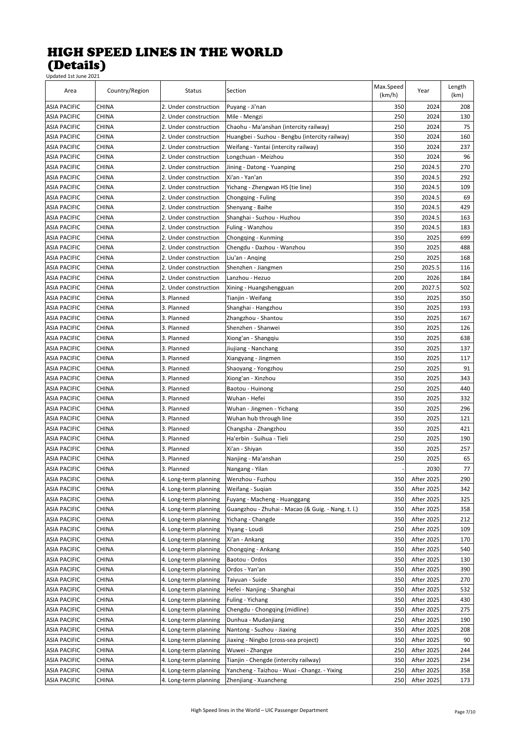| Area                | Country/Region | Status                | Section                                            | Max.Speed<br>(km/h) | Year              | Length<br>(km) |
|---------------------|----------------|-----------------------|----------------------------------------------------|---------------------|-------------------|----------------|
| <b>ASIA PACIFIC</b> | CHINA          | 2. Under construction | Puyang - Ji'nan                                    | 350                 | 2024              | 208            |
| <b>ASIA PACIFIC</b> | <b>CHINA</b>   | 2. Under construction | Mile - Mengzi                                      | 250                 | 2024              | 130            |
| <b>ASIA PACIFIC</b> | CHINA          | 2. Under construction | Chaohu - Ma'anshan (intercity railway)             | 250                 | 2024              | 75             |
| <b>ASIA PACIFIC</b> | <b>CHINA</b>   | 2. Under construction | Huangbei - Suzhou - Bengbu (intercity railway)     | 350                 | 2024              | 160            |
| <b>ASIA PACIFIC</b> | CHINA          | 2. Under construction | Weifang - Yantai (intercity railway)               | 350                 | 2024              | 237            |
| <b>ASIA PACIFIC</b> | CHINA          | 2. Under construction | Longchuan - Meizhou                                | 350                 | 2024              | 96             |
| ASIA PACIFIC        | <b>CHINA</b>   | 2. Under construction | Jining - Datong - Yuanping                         | 250                 | 2024.5            | 270            |
| <b>ASIA PACIFIC</b> | CHINA          | 2. Under construction | Xi'an - Yan'an                                     | 350                 | 2024.5            | 292            |
| <b>ASIA PACIFIC</b> | <b>CHINA</b>   | 2. Under construction | Yichang - Zhengwan HS (tie line)                   | 350                 | 2024.5            | 109            |
| <b>ASIA PACIFIC</b> | CHINA          | 2. Under construction | Chongqing - Fuling                                 | 350                 | 2024.5            | 69             |
| <b>ASIA PACIFIC</b> | CHINA          | 2. Under construction | Shenyang - Baihe                                   | 350                 | 2024.5            | 429            |
| <b>ASIA PACIFIC</b> | CHINA          | 2. Under construction | Shanghai - Suzhou - Huzhou                         | 350                 | 2024.5            | 163            |
| <b>ASIA PACIFIC</b> | CHINA          | 2. Under construction | Fuling - Wanzhou                                   | 350                 | 2024.5            | 183            |
| <b>ASIA PACIFIC</b> | CHINA          | 2. Under construction | Chongqing - Kunming                                | 350                 | 2025              | 699            |
| <b>ASIA PACIFIC</b> | CHINA          | 2. Under construction | Chengdu - Dazhou - Wanzhou                         | 350                 | 2025              | 488            |
| <b>ASIA PACIFIC</b> | CHINA          | 2. Under construction | Liu'an - Anqing                                    | 250                 | 2025              | 168            |
| <b>ASIA PACIFIC</b> | <b>CHINA</b>   | 2. Under construction | Shenzhen - Jiangmen                                | 250                 | 2025.5            | 116            |
| <b>ASIA PACIFIC</b> | CHINA          | 2. Under construction | Lanzhou - Hezuo                                    | 200                 | 2026              | 184            |
| <b>ASIA PACIFIC</b> | CHINA          | 2. Under construction | Xining - Huangshengguan                            | 200                 | 2027.5            | 502            |
| <b>ASIA PACIFIC</b> | <b>CHINA</b>   | 3. Planned            | Tianjin - Weifang                                  | 350                 | 2025              | 350            |
|                     |                |                       |                                                    | 350                 | 2025              |                |
| ASIA PACIFIC        | CHINA          | 3. Planned            | Shanghai - Hangzhou                                | 350                 |                   | 193            |
| <b>ASIA PACIFIC</b> | CHINA          | 3. Planned            | Zhangzhou - Shantou                                |                     | 2025              | 167            |
| <b>ASIA PACIFIC</b> | CHINA          | 3. Planned            | Shenzhen - Shanwei                                 | 350                 | 2025              | 126            |
| <b>ASIA PACIFIC</b> | CHINA          | 3. Planned            | Xiong'an - Shangqiu                                | 350                 | 2025              | 638            |
| <b>ASIA PACIFIC</b> | CHINA          | 3. Planned            | Jiujiang - Nanchang                                | 350                 | 2025              | 137            |
| <b>ASIA PACIFIC</b> | <b>CHINA</b>   | 3. Planned            | Xiangyang - Jingmen                                | 350                 | 2025              | 117            |
| <b>ASIA PACIFIC</b> | CHINA          | 3. Planned            | Shaoyang - Yongzhou                                | 250                 | 2025              | 91             |
| <b>ASIA PACIFIC</b> | CHINA          | 3. Planned            | Xiong'an - Xinzhou                                 | 350                 | 2025              | 343            |
| <b>ASIA PACIFIC</b> | CHINA          | 3. Planned            | Baotou - Huinong                                   | 250                 | 2025              | 440            |
| <b>ASIA PACIFIC</b> | CHINA          | 3. Planned            | Wuhan - Hefei                                      | 350                 | 2025              | 332            |
| <b>ASIA PACIFIC</b> | CHINA          | 3. Planned            | Wuhan - Jingmen - Yichang                          | 350                 | 2025              | 296            |
| <b>ASIA PACIFIC</b> | <b>CHINA</b>   | 3. Planned            | Wuhan hub through line                             | 350                 | 2025              | 121            |
| <b>ASIA PACIFIC</b> | CHINA          | 3. Planned            | Changsha - Zhangzhou                               | 350                 | 2025              | 421            |
| <b>ASIA PACIFIC</b> | CHINA          | 3. Planned            | Ha'erbin - Suihua - Tieli                          | 250                 | 2025              | 190            |
| <b>ASIA PACIFIC</b> | CHINA          | 3. Planned            | Xi'an - Shiyan                                     | 350                 | 2025              | 257            |
| <b>ASIA PACIFIC</b> | CHINA          | 3. Planned            | Nanjing - Ma'anshan                                | 250                 | 2025              | 65             |
| <b>ASIA PACIFIC</b> | CHINA          | 3. Planned            | Nangang - Yilan                                    |                     | 2030              | 77             |
| <b>ASIA PACIFIC</b> | CHINA          | 4. Long-term planning | Wenzhou - Fuzhou                                   | 350                 | After 2025        | 290            |
| <b>ASIA PACIFIC</b> | CHINA          | 4. Long-term planning | Weifang - Suqian                                   | 350                 | After 2025        | 342            |
| <b>ASIA PACIFIC</b> | CHINA          | 4. Long-term planning | Fuyang - Macheng - Huanggang                       | 350                 | After 2025        | 325            |
| <b>ASIA PACIFIC</b> | CHINA          | 4. Long-term planning | Guangzhou - Zhuhai - Macao (& Guig. - Nang. t. l.) | 350                 | After 2025        | 358            |
| <b>ASIA PACIFIC</b> | CHINA          | 4. Long-term planning | Yichang - Changde                                  | 350                 | After 2025        | 212            |
| <b>ASIA PACIFIC</b> | CHINA          | 4. Long-term planning | Yiyang - Loudi                                     | 250                 | After 2025        | 109            |
| <b>ASIA PACIFIC</b> | CHINA          | 4. Long-term planning | Xi'an - Ankang                                     | 350                 | After 2025        | 170            |
| <b>ASIA PACIFIC</b> | CHINA          | 4. Long-term planning | Chongqing - Ankang                                 | 350                 | After 2025        | 540            |
| <b>ASIA PACIFIC</b> | CHINA          | 4. Long-term planning | Baotou - Ordos                                     | 350                 | After 2025        | 130            |
| <b>ASIA PACIFIC</b> | CHINA          | 4. Long-term planning | Ordos - Yan'an                                     | 350                 | After 2025        | 390            |
| <b>ASIA PACIFIC</b> | CHINA          | 4. Long-term planning | Taiyuan - Suide                                    | 350                 | After 2025        | 270            |
| <b>ASIA PACIFIC</b> | CHINA          | 4. Long-term planning | Hefei - Nanjing - Shanghai                         | 350                 | After 2025        | 532            |
| <b>ASIA PACIFIC</b> | CHINA          | 4. Long-term planning | Fuling - Yichang                                   | 350                 | After 2025        | 430            |
| <b>ASIA PACIFIC</b> | CHINA          | 4. Long-term planning | Chengdu - Chongqing (midline)                      | 350                 | After 2025        | 275            |
| <b>ASIA PACIFIC</b> | CHINA          | 4. Long-term planning | Dunhua - Mudanjiang                                | 250                 | After 2025        | 190            |
| <b>ASIA PACIFIC</b> | CHINA          | 4. Long-term planning | Nantong - Suzhou - Jiaxing                         | 350                 | After 2025        | 208            |
| <b>ASIA PACIFIC</b> | CHINA          | 4. Long-term planning | Jiaxing - Ningbo (cross-sea project)               | 350                 | After 2025        | 90             |
| <b>ASIA PACIFIC</b> | CHINA          | 4. Long-term planning | Wuwei - Zhangye                                    | 250                 | After 2025        | 244            |
| ASIA PACIFIC        | CHINA          | 4. Long-term planning | Tianjin - Chengde (intercity railway)              | 350                 | After 2025        | 234            |
| <b>ASIA PACIFIC</b> | CHINA          | 4. Long-term planning | Yancheng - Taizhou - Wuxi - Changz. - Yixing       | 250                 | <b>After 2025</b> | 358            |
| <b>ASIA PACIFIC</b> | CHINA          | 4. Long-term planning | Zhenjiang - Xuancheng                              | 250                 | After 2025        | 173            |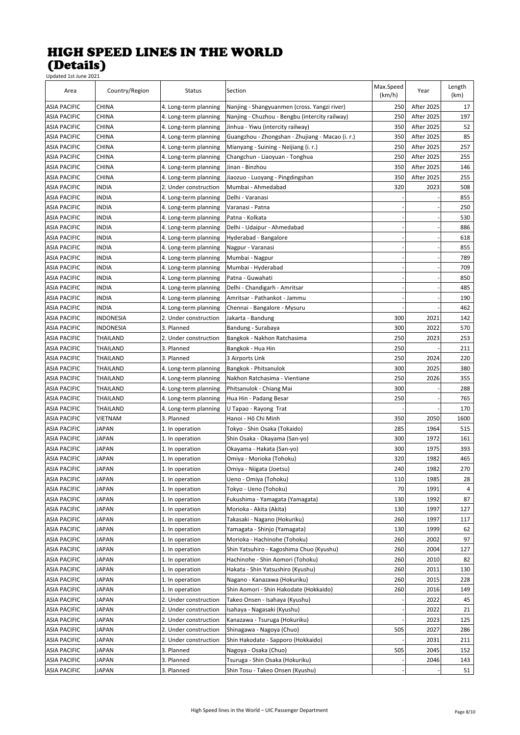| Area                | Country/Region      | Status                | Section                                          | Max.Speed<br>(km/h) | Year              | Length<br>(km) |
|---------------------|---------------------|-----------------------|--------------------------------------------------|---------------------|-------------------|----------------|
| <b>ASIA PACIFIC</b> | CHINA               | 4. Long-term planning | Nanjing - Shangyuanmen (cross. Yangzi river)     | 250                 | After 2025        | 17             |
| <b>ASIA PACIFIC</b> | <b>CHINA</b>        | 4. Long-term planning | Nanjing - Chuzhou - Bengbu (intercity railway)   | 250                 | After 2025        | 197            |
| <b>ASIA PACIFIC</b> | CHINA               | 4. Long-term planning | Jinhua - Yiwu (intercity railway)                | 350                 | After 2025        | 52             |
| <b>ASIA PACIFIC</b> | CHINA               | 4. Long-term planning | Guangzhou - Zhongshan - Zhujiang - Macao (i. r.) | 350                 | After 2025        | 85             |
| <b>ASIA PACIFIC</b> | CHINA               | 4. Long-term planning | Mianyang - Suining - Neijiang (i. r.)            | 250                 | After 2025        | 257            |
| <b>ASIA PACIFIC</b> | CHINA               | 4. Long-term planning | Changchun - Liaoyuan - Tonghua                   | 250                 | After 2025        | 255            |
| <b>ASIA PACIFIC</b> | CHINA               | 4. Long-term planning | Jinan - Binzhou                                  | 350                 | After 2025        | 146            |
| <b>ASIA PACIFIC</b> | CHINA               | 4. Long-term planning | Jiaozuo - Luoyang - Pingdingshan                 | 350                 | <b>After 2025</b> | 255            |
| <b>ASIA PACIFIC</b> | INDIA               | 2. Under construction | Mumbai - Ahmedabad                               | 320                 | 2023              | 508            |
| <b>ASIA PACIFIC</b> | INDIA               | 4. Long-term planning | Delhi - Varanasi                                 |                     |                   | 855            |
| <b>ASIA PACIFIC</b> | INDIA               | 4. Long-term planning | Varanasi - Patna                                 |                     |                   | 250            |
| <b>ASIA PACIFIC</b> | INDIA               | 4. Long-term planning | Patna - Kolkata                                  |                     |                   | 530            |
| <b>ASIA PACIFIC</b> | INDIA               | 4. Long-term planning | Delhi - Udaipur - Ahmedabad                      |                     |                   | 886            |
| <b>ASIA PACIFIC</b> | INDIA               | 4. Long-term planning | Hyderabad - Bangalore                            |                     |                   | 618            |
| <b>ASIA PACIFIC</b> | INDIA               | 4. Long-term planning | Nagpur - Varanasi                                |                     |                   | 855            |
| <b>ASIA PACIFIC</b> | INDIA               | 4. Long-term planning | Mumbai - Nagpur                                  |                     |                   | 789            |
| <b>ASIA PACIFIC</b> | INDIA               | 4. Long-term planning | Mumbai - Hyderabad                               |                     |                   | 709            |
| <b>ASIA PACIFIC</b> | INDIA               | 4. Long-term planning | Patna - Guwahati                                 |                     |                   | 850            |
| <b>ASIA PACIFIC</b> | INDIA               | 4. Long-term planning | Delhi - Chandigarh - Amritsar                    |                     |                   | 485            |
| <b>ASIA PACIFIC</b> | INDIA               | 4. Long-term planning | Amritsar - Pathankot - Jammu                     |                     |                   | 190            |
| <b>ASIA PACIFIC</b> | INDIA               | 4. Long-term planning | Chennai - Bangalore - Mysuru                     |                     |                   | 462            |
| ASIA PACIFIC        | INDONESIA           | 2. Under construction | Jakarta - Bandung                                | 300                 | 2021              | 142            |
| ASIA PACIFIC        | INDONESIA           | 3. Planned            | Bandung - Surabaya                               | 300                 | 2022              | 570            |
| <b>ASIA PACIFIC</b> | THAILAND            | 2. Under construction | Bangkok - Nakhon Ratchasima                      | 250                 | 2023              | 253            |
| <b>ASIA PACIFIC</b> | THAILAND            | 3. Planned            |                                                  | 250                 |                   | 211            |
|                     |                     | 3. Planned            | Bangkok - Hua Hin                                | 250                 |                   |                |
| <b>ASIA PACIFIC</b> | THAILAND            |                       | 3 Airports Link                                  | 300                 | 2024<br>2025      | 220<br>380     |
| <b>ASIA PACIFIC</b> | THAILAND            | 4. Long-term planning | Bangkok - Phitsanulok                            | 250                 | 2026              | 355            |
| <b>ASIA PACIFIC</b> | THAILAND            | 4. Long-term planning | Nakhon Ratchasima - Vientiane                    |                     |                   |                |
| <b>ASIA PACIFIC</b> | THAILAND            | 4. Long-term planning | Phitsanulok - Chiang Mai                         | 300                 |                   | 288            |
| <b>ASIA PACIFIC</b> | THAILAND            | 4. Long-term planning | Hua Hin - Padang Besar                           | 250                 |                   | 765            |
| <b>ASIA PACIFIC</b> | THAILAND<br>VIETNAM | 4. Long-term planning | U Tapao - Rayong Trat                            |                     |                   | 170            |
| <b>ASIA PACIFIC</b> |                     | 3. Planned            | Hanoi - Hô Chi Minh                              | 350                 | 2050              | 1600           |
| <b>ASIA PACIFIC</b> | JAPAN               | 1. In operation       | Tokyo - Shin Osaka (Tokaido)                     | 285                 | 1964              | 515            |
| <b>ASIA PACIFIC</b> | JAPAN               | 1. In operation       | Shin Osaka - Okayama (San-yo)                    | 300                 | 1972              | 161            |
| <b>ASIA PACIFIC</b> | JAPAN               | 1. In operation       | Okayama - Hakata (San-yo)                        | 300                 | 1975              | 393            |
| <b>ASIA PACIFIC</b> | JAPAN               | 1. In operation       | Omiya - Morioka (Tohoku)                         | 320                 | 1982              | 465            |
| <b>ASIA PACIFIC</b> | <b>JAPAN</b>        | 1. In operation       | Omiya - Niigata (Joetsu)                         | 240                 | 1982              | 270            |
| <b>ASIA PACIFIC</b> | <b>JAPAN</b>        | 1. In operation       | Ueno - Omiya (Tohoku)                            | 110                 | 1985              | 28             |
| <b>ASIA PACIFIC</b> | JAPAN               | 1. In operation       | Tokyo - Ueno (Tohoku)                            | 70                  | 1991              | 4              |
| <b>ASIA PACIFIC</b> | <b>JAPAN</b>        | 1. In operation       | Fukushima - Yamagata (Yamagata)                  | 130                 | 1992              | 87             |
| <b>ASIA PACIFIC</b> | <b>JAPAN</b>        | 1. In operation       | Morioka - Akita (Akita)                          | 130                 | 1997              | 127            |
| <b>ASIA PACIFIC</b> | <b>JAPAN</b>        | 1. In operation       | Takasaki - Nagano (Hokuriku)                     | 260                 | 1997              | 117            |
| <b>ASIA PACIFIC</b> | JAPAN               | 1. In operation       | Yamagata - Shinjo (Yamagata)                     | 130                 | 1999              | 62             |
| <b>ASIA PACIFIC</b> | JAPAN               | 1. In operation       | Morioka - Hachinohe (Tohoku)                     | 260                 | 2002              | 97             |
| <b>ASIA PACIFIC</b> | JAPAN               | 1. In operation       | Shin Yatsuhiro - Kagoshima Chuo (Kyushu)         | 260                 | 2004              | 127            |
| <b>ASIA PACIFIC</b> | JAPAN               | 1. In operation       | Hachinohe - Shin Aomori (Tohoku)                 | 260                 | 2010              | 82             |
| ASIA PACIFIC        | JAPAN               | 1. In operation       | Hakata - Shin Yatsushiro (Kyushu)                | 260                 | 2011              | 130            |
| ASIA PACIFIC        | JAPAN               | 1. In operation       | Nagano - Kanazawa (Hokuriku)                     | 260                 | 2015              | 228            |
| <b>ASIA PACIFIC</b> | JAPAN               | 1. In operation       | Shin Aomori - Shin Hakodate (Hokkaido)           | 260                 | 2016              | 149            |
| <b>ASIA PACIFIC</b> | JAPAN               | 2. Under construction | Takeo Onsen - Isahaya (Kyushu)                   |                     | 2022              | 45             |
| <b>ASIA PACIFIC</b> | JAPAN               | 2. Under construction | Isahaya - Nagasaki (Kyushu)                      |                     | 2022              | 21             |
| <b>ASIA PACIFIC</b> | JAPAN               | 2. Under construction | Kanazawa - Tsuruga (Hokuriku)                    |                     | 2023              | 125            |
| <b>ASIA PACIFIC</b> | JAPAN               | 2. Under construction | Shinagawa - Nagoya (Chuo)                        | 505                 | 2027              | 286            |
| <b>ASIA PACIFIC</b> | JAPAN               | 2. Under construction | Shin Hakodate - Sapporo (Hokkaido)               |                     | 2031              | 211            |
| <b>ASIA PACIFIC</b> | JAPAN               | 3. Planned            | Nagoya - Osaka (Chuo)                            | 505                 | 2045              | 152            |
| <b>ASIA PACIFIC</b> | JAPAN               | 3. Planned            | Tsuruga - Shin Osaka (Hokuriku)                  |                     | 2046              | 143            |
| <b>ASIA PACIFIC</b> | <b>JAPAN</b>        | 3. Planned            | Shin Tosu - Takeo Onsen (Kyushu)                 |                     |                   | 51             |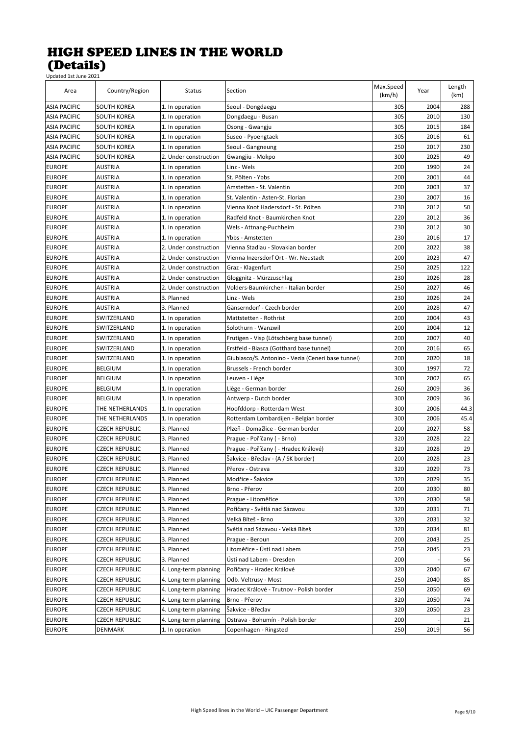| Updated 1st June 2021 |                       |                       |                                                    |                     |      |                |
|-----------------------|-----------------------|-----------------------|----------------------------------------------------|---------------------|------|----------------|
| Area                  | Country/Region        | <b>Status</b>         | Section                                            | Max.Speed<br>(km/h) | Year | Length<br>(km) |
| <b>ASIA PACIFIC</b>   | SOUTH KOREA           | 1. In operation       | Seoul - Dongdaegu                                  | 305                 | 2004 | 288            |
| <b>ASIA PACIFIC</b>   | SOUTH KOREA           | 1. In operation       | Dongdaegu - Busan                                  | 305                 | 2010 | 130            |
| <b>ASIA PACIFIC</b>   | <b>SOUTH KOREA</b>    | 1. In operation       | Osong - Gwangju                                    | 305                 | 2015 | 184            |
| <b>ASIA PACIFIC</b>   | SOUTH KOREA           | 1. In operation       | Suseo - Pyoengtaek                                 | 305                 | 2016 | 61             |
| <b>ASIA PACIFIC</b>   | SOUTH KOREA           | 1. In operation       | Seoul - Gangneung                                  | 250                 | 2017 | 230            |
| <b>ASIA PACIFIC</b>   | SOUTH KOREA           | 2. Under construction | Gwangjiu - Mokpo                                   | 300                 | 2025 | 49             |
| <b>EUROPE</b>         | <b>AUSTRIA</b>        | 1. In operation       | Linz - Wels                                        | 200                 | 1990 | 24             |
| <b>EUROPE</b>         | <b>AUSTRIA</b>        | 1. In operation       | St. Pölten - Ybbs                                  | 200                 | 2001 | 44             |
| <b>EUROPE</b>         | <b>AUSTRIA</b>        | 1. In operation       | Amstetten - St. Valentin                           | 200                 | 2003 | 37             |
| <b>EUROPE</b>         | <b>AUSTRIA</b>        | 1. In operation       | St. Valentin - Asten-St. Florian                   | 230                 | 2007 | 16             |
| <b>EUROPE</b>         | <b>AUSTRIA</b>        | 1. In operation       | Vienna Knot Hadersdorf - St. Pölten                | 230                 | 2012 | 50             |
| <b>EUROPE</b>         | <b>AUSTRIA</b>        | 1. In operation       | Radfeld Knot - Baumkirchen Knot                    | 220                 | 2012 | 36             |
| <b>EUROPE</b>         | <b>AUSTRIA</b>        | 1. In operation       | Wels - Attnang-Puchheim                            | 230                 | 2012 | 30             |
| <b>EUROPE</b>         | <b>AUSTRIA</b>        | 1. In operation       | Ybbs - Amstetten                                   | 230                 | 2016 | 17             |
| <b>EUROPE</b>         | <b>AUSTRIA</b>        | 2. Under construction | Vienna Stadlau - Slovakian border                  | 200                 | 2022 | 38             |
| <b>EUROPE</b>         | <b>AUSTRIA</b>        | 2. Under construction | Vienna Inzersdorf Ort - Wr. Neustadt               | 200                 | 2023 | 47             |
| <b>EUROPE</b>         | <b>AUSTRIA</b>        | 2. Under construction | Graz - Klagenfurt                                  | 250                 | 2025 | 122            |
| <b>EUROPE</b>         | <b>AUSTRIA</b>        | 2. Under construction | Gloggnitz - Mürzzuschlag                           | 230                 | 2026 | 28             |
| <b>EUROPE</b>         | <b>AUSTRIA</b>        | 2. Under construction | Volders-Baumkirchen - Italian border               | 250                 | 2027 | 46             |
| <b>EUROPE</b>         | <b>AUSTRIA</b>        | 3. Planned            | Linz - Wels                                        | 230                 | 2026 | 24             |
| <b>EUROPE</b>         | <b>AUSTRIA</b>        | 3. Planned            | Gänserndorf - Czech border                         | 200                 | 2028 | 47             |
| <b>EUROPE</b>         | SWITZERLAND           | 1. In operation       | Mattstetten - Rothrist                             | 200                 | 2004 | 43             |
| <b>EUROPE</b>         | SWITZERLAND           | 1. In operation       | Solothurn - Wanzwil                                | 200                 | 2004 | 12             |
| <b>EUROPE</b>         | SWITZERLAND           | 1. In operation       | Frutigen - Visp (Lötschberg base tunnel)           | 200                 | 2007 | 40             |
| <b>EUROPE</b>         | SWITZERLAND           | 1. In operation       | Erstfeld - Biasca (Gotthard base tunnel)           | 200                 | 2016 | 65             |
| <b>EUROPE</b>         | SWITZERLAND           | 1. In operation       | Giubiasco/S. Antonino - Vezia (Ceneri base tunnel) | 200                 | 2020 | 18             |
| <b>EUROPE</b>         | <b>BELGIUM</b>        | 1. In operation       | Brussels - French border                           | 300                 | 1997 | 72             |
| <b>EUROPE</b>         | <b>BELGIUM</b>        | 1. In operation       | Leuven - Liège                                     | 300                 | 2002 | 65             |
| <b>EUROPE</b>         | <b>BELGIUM</b>        | 1. In operation       | Liège - German border                              | 260                 | 2009 | 36             |
| <b>EUROPE</b>         | <b>BELGIUM</b>        | 1. In operation       | Antwerp - Dutch border                             | 300                 | 2009 | 36             |
| <b>EUROPE</b>         | THE NETHERLANDS       | 1. In operation       | Hoofddorp - Rotterdam West                         | 300                 | 2006 | 44.3           |
| <b>EUROPE</b>         | THE NETHERLANDS       | 1. In operation       | Rotterdam Lombardijen - Belgian border             | 300                 | 2006 | 45.4           |
| <b>EUROPE</b>         | <b>CZECH REPUBLIC</b> | 3. Planned            | Plzeň - Domažlice - German border                  | 200                 | 2027 | 58             |
| <b>EUROPE</b>         | <b>CZECH REPUBLIC</b> | 3. Planned            | Prague - Poříčany ( - Brno)                        | 320                 | 2028 | 22             |
| <b>EUROPE</b>         | <b>CZECH REPUBLIC</b> | 3. Planned            | Prague - Poříčany ( - Hradec Králové)              | 320                 | 2028 | 29             |
| <b>EUROPE</b>         | <b>CZECH REPUBLIC</b> | 3. Planned            | Šakvice - Břeclav - (A / SK border)                | 200                 | 2028 | 23             |
| <b>EUROPE</b>         | <b>CZECH REPUBLIC</b> | 3. Planned            | Přerov - Ostrava                                   | 320                 | 2029 | 73             |
| <b>EUROPE</b>         | <b>CZECH REPUBLIC</b> | 3. Planned            | Modřice - Šakvice                                  | 320                 | 2029 | 35             |
| <b>EUROPE</b>         | <b>CZECH REPUBLIC</b> | 3. Planned            | Brno - Přerov                                      | 200                 | 2030 | 80             |
| <b>EUROPE</b>         | <b>CZECH REPUBLIC</b> | 3. Planned            | Prague - Litoměřice                                | 320                 | 2030 | 58             |
| <b>EUROPE</b>         | <b>CZECH REPUBLIC</b> | 3. Planned            | Poříčany - Světlá nad Sázavou                      | 320                 | 2031 | 71             |
| <b>EUROPE</b>         | <b>CZECH REPUBLIC</b> | 3. Planned            | Velká Bíteš - Brno                                 | 320                 | 2031 | 32             |
| <b>EUROPE</b>         | <b>CZECH REPUBLIC</b> | 3. Planned            | Světlá nad Sázavou - Velká Bíteš                   | 320                 | 2034 | 81             |
| <b>EUROPE</b>         | <b>CZECH REPUBLIC</b> | 3. Planned            | Prague - Beroun                                    | 200                 | 2043 | 25             |
| <b>EUROPE</b>         | <b>CZECH REPUBLIC</b> | 3. Planned            | Litoměřice - Ústí nad Labem                        | 250                 | 2045 | 23             |
| <b>EUROPE</b>         | <b>CZECH REPUBLIC</b> | 3. Planned            | Ústí nad Labem - Dresden                           | 200                 |      | 56             |
| <b>EUROPE</b>         | <b>CZECH REPUBLIC</b> | 4. Long-term planning | Poříčany - Hradec Králové                          | 320                 | 2040 | 67             |
| <b>EUROPE</b>         | <b>CZECH REPUBLIC</b> | 4. Long-term planning | Odb. Veltrusy - Most                               | 250                 | 2040 | 85             |
| <b>EUROPE</b>         | <b>CZECH REPUBLIC</b> | 4. Long-term planning | Hradec Králové - Trutnov - Polish border           | 250                 | 2050 | 69             |
| <b>EUROPE</b>         | <b>CZECH REPUBLIC</b> | 4. Long-term planning | Brno - Přerov                                      | 320                 | 2050 | 74             |
| <b>EUROPE</b>         | <b>CZECH REPUBLIC</b> | 4. Long-term planning | Šakvice - Břeclav                                  | 320                 | 2050 | 23             |
| <b>EUROPE</b>         |                       |                       |                                                    | 200                 |      |                |
|                       | <b>CZECH REPUBLIC</b> | 4. Long-term planning | Ostrava - Bohumín - Polish border                  |                     |      | 21             |
| <b>EUROPE</b>         | DENMARK               | 1. In operation       | Copenhagen - Ringsted                              | 250                 | 2019 | 56             |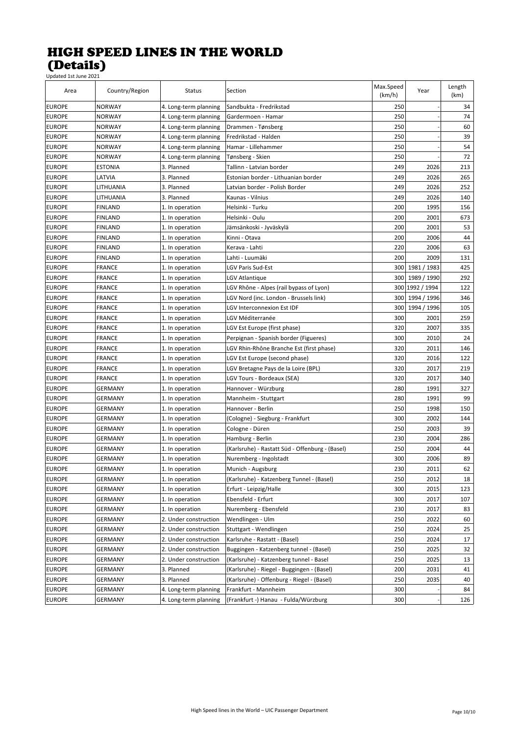| Area          | Country/Region | Status                | Section                                         | Max.Speed<br>(km/h) | Year            | Length<br>(km) |
|---------------|----------------|-----------------------|-------------------------------------------------|---------------------|-----------------|----------------|
| <b>EUROPE</b> | <b>NORWAY</b>  | 4. Long-term planning | Sandbukta - Fredrikstad                         | 250                 |                 | 34             |
| <b>EUROPE</b> | <b>NORWAY</b>  | 4. Long-term planning | Gardermoen - Hamar                              | 250                 |                 | 74             |
| <b>EUROPE</b> | <b>NORWAY</b>  | 4. Long-term planning | Drammen - Tønsberg                              | 250                 |                 | 60             |
| <b>EUROPE</b> | <b>NORWAY</b>  | 4. Long-term planning | Fredrikstad - Halden                            | 250                 |                 | 39             |
| <b>EUROPE</b> | <b>NORWAY</b>  | 4. Long-term planning | Hamar - Lillehammer                             | 250                 |                 | 54             |
| <b>EUROPE</b> | <b>NORWAY</b>  | 4. Long-term planning | Tønsberg - Skien                                | 250                 |                 | 72             |
| <b>EUROPE</b> | <b>ESTONIA</b> | 3. Planned            | Tallinn - Latvian border                        | 249                 | 2026            | 213            |
| <b>EUROPE</b> | LATVIA         | 3. Planned            | Estonian border - Lithuanian border             | 249                 | 2026            | 265            |
| <b>EUROPE</b> | LITHUANIA      | 3. Planned            | Latvian border - Polish Border                  | 249                 | 2026            | 252            |
| <b>EUROPE</b> | LITHUANIA      | 3. Planned            | Kaunas - Vilnius                                | 249                 | 2026            | 140            |
| <b>EUROPE</b> | <b>FINLAND</b> | 1. In operation       | Helsinki - Turku                                | 200                 | 1995            | 156            |
| <b>EUROPE</b> | <b>FINLAND</b> | 1. In operation       | Helsinki - Oulu                                 | 200                 | 2001            | 673            |
| <b>EUROPE</b> | <b>FINLAND</b> | 1. In operation       | Jämsänkoski - Jyväskylä                         | 200                 | 2001            | 53             |
| <b>EUROPE</b> | <b>FINLAND</b> | 1. In operation       | Kinni - Otava                                   | 200                 | 2006            | 44             |
| <b>EUROPE</b> | <b>FINLAND</b> | 1. In operation       | Kerava - Lahti                                  | 220                 | 2006            | 63             |
| <b>EUROPE</b> | <b>FINLAND</b> | 1. In operation       | Lahti - Luumäki                                 | 200                 | 2009            | 131            |
| <b>EUROPE</b> | <b>FRANCE</b>  | 1. In operation       | <b>LGV Paris Sud-Est</b>                        | 300                 | 1981 / 1983     | 425            |
| <b>EUROPE</b> | <b>FRANCE</b>  | 1. In operation       | LGV Atlantique                                  | 300                 | 1989 / 1990     | 292            |
| <b>EUROPE</b> | <b>FRANCE</b>  | 1. In operation       | LGV Rhône - Alpes (rail bypass of Lyon)         |                     | 300 1992 / 1994 | 122            |
| <b>EUROPE</b> | <b>FRANCE</b>  | 1. In operation       | LGV Nord (inc. London - Brussels link)          | 300                 | 1994 / 1996     | 346            |
| <b>EUROPE</b> | <b>FRANCE</b>  | 1. In operation       | LGV Interconnexion Est IDF                      | 300                 | 1994 / 1996     | 105            |
| <b>EUROPE</b> | <b>FRANCE</b>  | 1. In operation       | LGV Méditerranée                                | 300                 | 2001            | 259            |
| <b>EUROPE</b> | FRANCE         | 1. In operation       | LGV Est Europe (first phase)                    | 320                 | 2007            | 335            |
| <b>EUROPE</b> | <b>FRANCE</b>  | 1. In operation       | Perpignan - Spanish border (Figueres)           | 300                 | 2010            | 24             |
| <b>EUROPE</b> | <b>FRANCE</b>  | 1. In operation       | LGV Rhin-Rhône Branche Est (first phase)        | 320                 | 2011            | 146            |
| <b>EUROPE</b> | <b>FRANCE</b>  | 1. In operation       | LGV Est Europe (second phase)                   | 320                 | 2016            | 122            |
| <b>EUROPE</b> | <b>FRANCE</b>  | 1. In operation       | LGV Bretagne Pays de la Loire (BPL)             | 320                 | 2017            | 219            |
| <b>EUROPE</b> | <b>FRANCE</b>  | 1. In operation       | LGV Tours - Bordeaux (SEA)                      | 320                 | 2017            | 340            |
| <b>EUROPE</b> | <b>GERMANY</b> | 1. In operation       | Hannover - Würzburg                             | 280                 | 1991            | 327            |
| <b>EUROPE</b> | <b>GERMANY</b> | 1. In operation       | Mannheim - Stuttgart                            | 280                 | 1991            | 99             |
| <b>EUROPE</b> | <b>GERMANY</b> | 1. In operation       | Hannover - Berlin                               | 250                 | 1998            | 150            |
| <b>EUROPE</b> | <b>GERMANY</b> | 1. In operation       | (Cologne) - Siegburg - Frankfurt                | 300                 | 2002            | 144            |
| <b>EUROPE</b> | <b>GERMANY</b> | 1. In operation       | Cologne - Düren                                 | 250                 | 2003            | 39             |
| <b>EUROPE</b> | <b>GERMANY</b> | 1. In operation       | Hamburg - Berlin                                | 230                 | 2004            | 286            |
| <b>EUROPE</b> | <b>GERMANY</b> | 1. In operation       | (Karlsruhe) - Rastatt Süd - Offenburg - (Basel) | 250                 | 2004            | 44             |
| <b>EUROPE</b> | GERMANY        | 1. In operation       | Nuremberg - Ingolstadt                          | 300                 | 2006            | 89             |
| <b>EUROPE</b> | GERMANY        | 1. In operation       | Munich - Augsburg                               | 230                 | 2011            | 62             |
| <b>EUROPE</b> | GERMANY        | 1. In operation       | (Karlsruhe) - Katzenberg Tunnel - (Basel)       | 250                 | 2012            | 18             |
| <b>EUROPE</b> | GERMANY        | 1. In operation       | Erfurt - Leipzig/Halle                          | 300                 | 2015            | 123            |
| <b>EUROPE</b> | GERMANY        | 1. In operation       | Ebensfeld - Erfurt                              | 300                 | 2017            | 107            |
| <b>EUROPE</b> | GERMANY        | 1. In operation       | Nuremberg - Ebensfeld                           | 230                 | 2017            | 83             |
| <b>EUROPE</b> | GERMANY        | 2. Under construction | Wendlingen - Ulm                                | 250                 | 2022            | 60             |
| <b>EUROPE</b> | GERMANY        | 2. Under construction | Stuttgart - Wendlingen                          | 250                 | 2024            | 25             |
| <b>EUROPE</b> | GERMANY        | 2. Under construction | Karlsruhe - Rastatt - (Basel)                   | 250                 | 2024            | 17             |
| <b>EUROPE</b> | GERMANY        | 2. Under construction | Buggingen - Katzenberg tunnel - (Basel)         | 250                 | 2025            | 32             |
| <b>EUROPE</b> | GERMANY        | 2. Under construction | (Karlsruhe) - Katzenberg tunnel - Basel         | 250                 | 2025            | 13             |
| <b>EUROPE</b> | GERMANY        | 3. Planned            | (Karlsruhe) - Riegel - Buggingen - (Basel)      | 200                 | 2031            | 41             |
| <b>EUROPE</b> | GERMANY        | 3. Planned            | (Karlsruhe) - Offenburg - Riegel - (Basel)      | 250                 | 2035            | 40             |
| <b>EUROPE</b> | GERMANY        | 4. Long-term planning | Frankfurt - Mannheim                            | 300                 |                 | 84             |
| <b>EUROPE</b> | GERMANY        | 4. Long-term planning | (Frankfurt -) Hanau - Fulda/Würzburg            | 300                 |                 | 126            |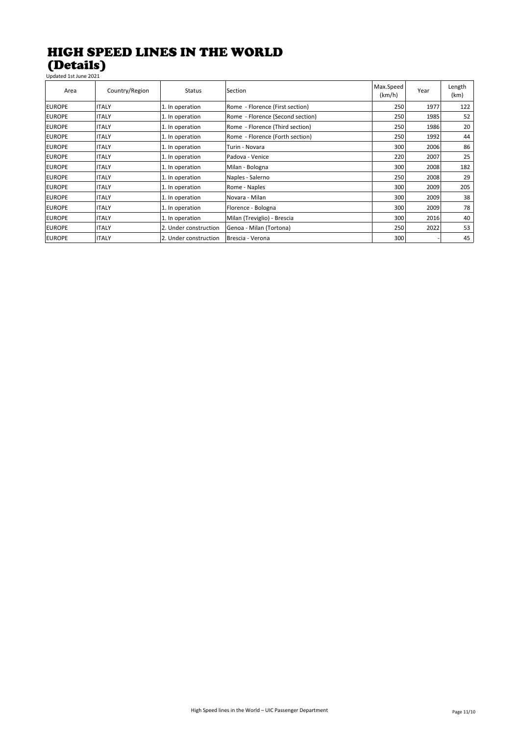#### HIGH SPEED LINES IN THE WORLD (Details) Updated 1st June 2021

Area Country/Region Status Section Section Area Max.Speed  $\begin{array}{c|c}\n\text{tax-Speed} \\
\text{(km/h)}\n\end{array}$  Year Length (km) EUROPE ITALY 1. In operation Rome - Florence (First section) 250 1977 122 EUROPE |ITALY |1. In operation Rome - Florence (Second section) | 250 1985 52 EUROPE |ITALY |1. In operation |Rome - Florence (Third section) | 250 | 200 | 200 | 20 EUROPE |ITALY |1. In operation |Rome - Florence (Forth section) | 250 | 1992 44 EUROPE ITALY 1. In operation Turin - Novara 300 2006 86 EUROPE ITALY 1. In operation Padova - Venice 220 2007 25 EUROPE ITALY 1. In operation Milan - Bologna 300 2008 182 EUROPE ITALY 1. In operation Naples - Salerno 250 2008 29 EUROPE ITALY 1. In operation Rome - Naples 300 2009 205 EUROPE ITALY 1. In operation Novara - Milan 300 2009 38 EUROPE ITALY 1. In operation Florence - Bologna 300 2009 78 EUROPE ITALY 1. In operation Milan (Treviglio) - Brescia 300 2016 40 EUROPE ITALY 2. Under construction Genoa - Milan (Tortona) 250 2022 53 EUROPE ITALY 2. Under construction Brescia - Verona 300 - 45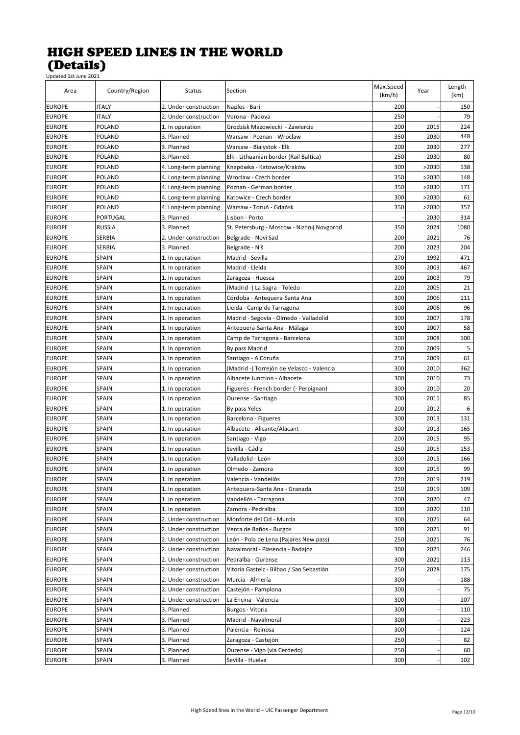| Area          | Country/Region | Status                | Section                                    | Max.Speed<br>(km/h) | Year  | Length<br>(km) |
|---------------|----------------|-----------------------|--------------------------------------------|---------------------|-------|----------------|
| <b>EUROPE</b> | <b>ITALY</b>   | 2. Under construction | Naples - Bari                              | 200                 |       | 150            |
| <b>EUROPE</b> | <b>ITALY</b>   | 2. Under construction | Verona - Padova                            | 250                 |       | 79             |
| <b>EUROPE</b> | POLAND         | 1. In operation       | Grodzisk Mazowiecki - Zawiercie            | 200                 | 2015  | 224            |
| <b>EUROPE</b> | POLAND         | 3. Planned            | Warsaw - Poznan - Wroclaw                  | 350                 | 2030  | 448            |
| <b>EUROPE</b> | POLAND         | 3. Planned            | Warsaw - Bialystok - Ełk                   | 200                 | 2030  | 277            |
| <b>EUROPE</b> | POLAND         | 3. Planned            | Elk - Lithuanian border (Rail Baltica)     | 250                 | 2030  | 80             |
| <b>EUROPE</b> | POLAND         | 4. Long-term planning | Knapówka - Katowice/Kraków                 | 300                 | >2030 | 138            |
| <b>EUROPE</b> | POLAND         | 4. Long-term planning | Wroclaw - Czech border                     | 350                 | >2030 | 148            |
| <b>EUROPE</b> | POLAND         | 4. Long-term planning | Poznan - German border                     | 350                 | >2030 | 171            |
| <b>EUROPE</b> | POLAND         | 4. Long-term planning | Katowice - Czech border                    | 300                 | >2030 | 61             |
| <b>EUROPE</b> | POLAND         | 4. Long-term planning | Warsaw - Toruń - Gdańsk                    | 350                 | >2030 | 357            |
| <b>EUROPE</b> | PORTUGAL       | 3. Planned            | Lisbon - Porto                             |                     | 2030  | 314            |
| <b>EUROPE</b> | <b>RUSSIA</b>  | 3. Planned            | St. Petersburg - Moscow - Nizhnij Novgorod | 350                 | 2024  | 1080           |
| <b>EUROPE</b> | SERBIA         | 2. Under construction | Belgrade - Novi Sad                        | 200                 | 2021  | 76             |
| <b>EUROPE</b> | SERBIA         | 3. Planned            | Belgrade - Niš                             | 200                 | 2023  | 204            |
| <b>EUROPE</b> | SPAIN          | 1. In operation       | Madrid - Sevilla                           | 270                 | 1992  | 471            |
| <b>EUROPE</b> | SPAIN          | 1. In operation       | Madrid - Lleida                            | 300                 | 2003  | 467            |
| <b>EUROPE</b> | SPAIN          | 1. In operation       | Zaragoza - Huesca                          | 200                 | 2003  | 79             |
| <b>EUROPE</b> | SPAIN          | 1. In operation       | (Madrid -) La Sagra - Toledo               | 220                 | 2005  | 21             |
| <b>EUROPE</b> | SPAIN          | 1. In operation       | Córdoba - Antequera-Santa Ana              | 300                 | 2006  | 111            |
| <b>EUROPE</b> | SPAIN          | 1. In operation       | Lleida - Camp de Tarragona                 | 300                 | 2006  | 96             |
| <b>EUROPE</b> | SPAIN          | 1. In operation       | Madrid - Segovia - Olmedo - Valladolid     | 300                 | 2007  | 178            |
| <b>EUROPE</b> | SPAIN          | 1. In operation       | Antequera-Santa Ana - Málaga               | 300                 | 2007  | 58             |
| <b>EUROPE</b> | <b>SPAIN</b>   | 1. In operation       | Camp de Tarragona - Barcelona              | 300                 | 2008  | 100            |
| <b>EUROPE</b> | <b>SPAIN</b>   | 1. In operation       | By pass Madrid                             | 200                 | 2009  | 5              |
| <b>EUROPE</b> | <b>SPAIN</b>   | 1. In operation       | Santiago - A Coruña                        | 250                 | 2009  | 61             |
| <b>EUROPE</b> | SPAIN          | 1. In operation       | (Madrid -) Torrejón de Velasco - Valencia  | 300                 | 2010  | 362            |
| <b>EUROPE</b> | SPAIN          | 1. In operation       | Albacete Junction - Albacete               | 300                 | 2010  | 73             |
| <b>EUROPE</b> | SPAIN          | 1. In operation       | Figueres - French border (- Perpignan)     | 300                 | 2010  | 20             |
| <b>EUROPE</b> | <b>SPAIN</b>   | 1. In operation       | Ourense - Santiago                         | 300                 | 2011  | 85             |
| <b>EUROPE</b> | <b>SPAIN</b>   | 1. In operation       | By pass Yeles                              | 200                 | 2012  | 6              |
| <b>EUROPE</b> | SPAIN          | 1. In operation       | Barcelona - Figueres                       | 300                 | 2013  | 131            |
| <b>EUROPE</b> | SPAIN          | 1. In operation       | Albacete - Alicante/Alacant                | 300                 | 2013  | 165            |
| <b>EUROPE</b> | SPAIN          | 1. In operation       | Santiago - Vigo                            | 200                 | 2015  | 95             |
| <b>EUROPE</b> | SPAIN          | 1. In operation       | Sevilla - Cádiz                            | 250                 | 2015  | 153            |
| <b>EUROPE</b> | SPAIN          | 1. In operation       | Valladolid - León                          | 300                 | 2015  | 166            |
| <b>EUROPE</b> | <b>SPAIN</b>   | 1. In operation       | Olmedo - Zamora                            | 300                 | 2015  | 99             |
| <b>EUROPE</b> | SPAIN          | 1. In operation       | Valencia - Vandellós                       | 220                 | 2019  | 219            |
| <b>EUROPE</b> | SPAIN          | 1. In operation       | Antequera-Santa Ana - Granada              | 250                 | 2019  | 109            |
| <b>EUROPE</b> | SPAIN          | 1. In operation       | Vandellós - Tarragona                      | 200                 | 2020  | 47             |
| <b>EUROPE</b> | <b>SPAIN</b>   | 1. In operation       | Zamora - Pedralba                          | 300                 | 2020  | 110            |
| <b>EUROPE</b> | SPAIN          | 2. Under construction | Monforte del Cid - Murcia                  | 300                 | 2021  | 64             |
| <b>EUROPE</b> | SPAIN          | 2. Under construction | Venta de Baños - Burgos                    | 300                 | 2021  | 91             |
| <b>EUROPE</b> | SPAIN          | 2. Under construction | León - Pola de Lena (Pajares New pass)     | 250                 | 2021  | 76             |
| <b>EUROPE</b> | SPAIN          | 2. Under construction | Navalmoral - Plasencia - Badajoz           | 300                 | 2021  | 246            |
| <b>EUROPE</b> | SPAIN          | 2. Under construction | Pedralba - Ourense                         | 300                 | 2021  | 113            |
| <b>EUROPE</b> | SPAIN          | 2. Under construction | Vitoria Gasteiz - Bilbao / San Sebastián   | 250                 | 2028  | 175            |
| <b>EUROPE</b> | SPAIN          | 2. Under construction | Murcia - Almería                           | 300                 |       | 188            |
| <b>EUROPE</b> | SPAIN          | 2. Under construction | Castejón - Pamplona                        | 300                 |       | 75             |
| <b>EUROPE</b> | SPAIN          | 2. Under construction | La Encina - Valencia                       | 300                 |       | 107            |
| <b>EUROPE</b> | SPAIN          | 3. Planned            | Burgos - Vitoria                           | 300                 |       | 110            |
| <b>EUROPE</b> | SPAIN          | 3. Planned            | Madrid - Navalmoral                        | 300                 |       | 223            |
| <b>EUROPE</b> | SPAIN          | 3. Planned            | Palencia - Reinosa                         | 300                 |       | 124            |
| <b>EUROPE</b> | SPAIN          | 3. Planned            | Zaragoza - Castejón                        | 250                 |       | 82             |
| <b>EUROPE</b> | SPAIN          | 3. Planned            | Ourense - Vigo (vía Cerdedo)               | 250                 |       | 60             |
| <b>EUROPE</b> | SPAIN          | 3. Planned            | Sevilla - Huelva                           | 300                 |       | 102            |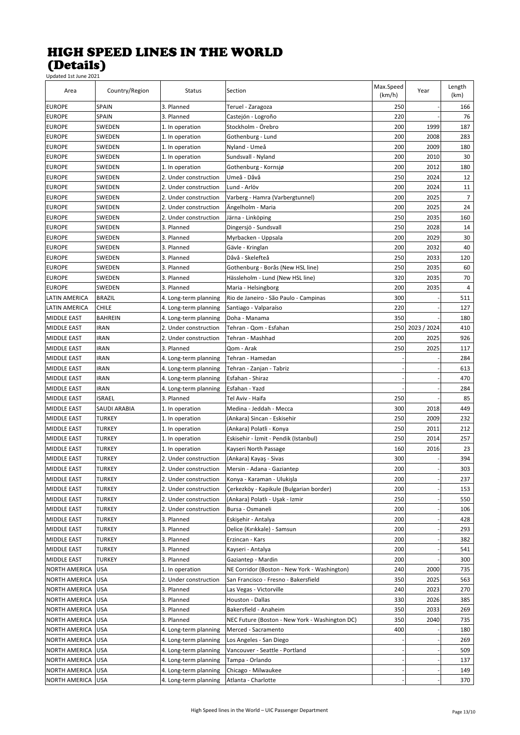| Area                                | Country/Region | <b>Status</b>                                  | Section                                        | Max.Speed<br>(km/h) | Year            | Length<br>(km) |
|-------------------------------------|----------------|------------------------------------------------|------------------------------------------------|---------------------|-----------------|----------------|
| <b>EUROPE</b>                       | <b>SPAIN</b>   | 3. Planned                                     | Teruel - Zaragoza                              | 250                 |                 | 166            |
| <b>EUROPE</b>                       | <b>SPAIN</b>   | 3. Planned                                     | Castejón - Logroño                             | 220                 |                 | 76             |
| <b>EUROPE</b>                       | SWEDEN         | 1. In operation                                | Stockholm - Örebro                             | 200                 | 1999            | 187            |
| <b>EUROPE</b>                       | SWEDEN         | 1. In operation                                | Gothenburg - Lund                              | 200                 | 2008            | 283            |
| <b>EUROPE</b>                       | SWEDEN         | 1. In operation                                | Nyland - Umeå                                  | 200                 | 2009            | 180            |
| <b>EUROPE</b>                       | SWEDEN         | 1. In operation                                | Sundsvall - Nyland                             | 200                 | 2010            | 30             |
| <b>EUROPE</b>                       | SWEDEN         | 1. In operation                                | Gothenburg - Kornsjø                           | 200                 | 2012            | 180            |
| <b>EUROPE</b>                       | SWEDEN         | 2. Under construction                          | Umeå - Dåvå                                    | 250                 | 2024            | 12             |
| <b>EUROPE</b>                       | SWEDEN         | 2. Under construction                          | Lund - Arlöv                                   | 200                 | 2024            | 11             |
| <b>EUROPE</b>                       | SWEDEN         | 2. Under construction                          | Varberg - Hamra (Varbergtunnel)                | 200                 | 2025            | 7              |
| <b>EUROPE</b>                       | SWEDEN         | 2. Under construction                          | Ängelholm - Maria                              | 200                 | 2025            | 24             |
| <b>EUROPE</b>                       | SWEDEN         | 2. Under construction                          | Järna - Linköping                              | 250                 | 2035            | 160            |
| <b>EUROPE</b>                       | SWEDEN         | 3. Planned                                     | Dingersjö - Sundsvall                          | 250                 | 2028            | 14             |
| <b>EUROPE</b>                       | SWEDEN         | 3. Planned                                     | Myrbacken - Uppsala                            | 200                 | 2029            | 30             |
| <b>EUROPE</b>                       | SWEDEN         | 3. Planned                                     | Gävle - Kringlan                               | 200                 | 2032            | 40             |
| <b>EUROPE</b>                       | SWEDEN         | 3. Planned                                     | Dåvå - Skelefteå                               | 250                 | 2033            | 120            |
| <b>EUROPE</b>                       | SWEDEN         | 3. Planned                                     | Gothenburg - Borås (New HSL line)              | 250                 | 2035            | 60             |
| <b>EUROPE</b>                       | SWEDEN         | 3. Planned                                     | Hässleholm - Lund (New HSL line)               | 320                 | 2035            | 70             |
| <b>EUROPE</b>                       | SWEDEN         | 3. Planned                                     | Maria - Helsingborg                            | 200                 | 2035            | 4              |
| LATIN AMERICA                       | <b>BRAZIL</b>  |                                                | Rio de Janeiro - São Paulo - Campinas          | 300                 |                 | 511            |
|                                     | CHILE          | 4. Long-term planning                          |                                                | 220                 |                 | 127            |
| LATIN AMERICA<br><b>MIDDLE EAST</b> |                | 4. Long-term planning                          | Santiago - Valparaíso                          |                     |                 |                |
|                                     | <b>BAHREIN</b> | 4. Long-term planning                          | Doha - Manama                                  | 350                 |                 | 180            |
| MIDDLE EAST                         | IRAN           | 2. Under construction<br>2. Under construction | Tehran - Qom - Esfahan                         | 200                 | 250 2023 / 2024 | 410<br>926     |
| <b>MIDDLE EAST</b>                  | IRAN           |                                                | Tehran - Mashhad                               |                     | 2025            |                |
| <b>MIDDLE EAST</b>                  | IRAN           | 3. Planned                                     | Qom - Arak                                     | 250                 | 2025            | 117            |
| <b>MIDDLE EAST</b>                  | IRAN           | 4. Long-term planning                          | Tehran - Hamedan                               |                     |                 | 284            |
| MIDDLE EAST                         | <b>IRAN</b>    | 4. Long-term planning                          | Tehran - Zanjan - Tabriz                       |                     |                 | 613            |
| MIDDLE EAST                         | IRAN           | 4. Long-term planning                          | Esfahan - Shiraz                               |                     |                 | 470            |
| MIDDLE EAST                         | IRAN           | 4. Long-term planning                          | Esfahan - Yazd                                 |                     |                 | 284            |
| <b>MIDDLE EAST</b>                  | ISRAEL         | 3. Planned                                     | Tel Aviv - Haifa                               | 250                 |                 | 85             |
| <b>MIDDLE EAST</b>                  | SAUDI ARABIA   | 1. In operation                                | Medina - Jeddah - Mecca                        | 300                 | 2018            | 449            |
| <b>MIDDLE EAST</b>                  | TURKEY         | 1. In operation                                | (Ankara) Sincan - Eskisehir                    | 250                 | 2009            | 232            |
| <b>MIDDLE EAST</b>                  | TURKEY         | 1. In operation                                | (Ankara) Polatli - Konya                       | 250                 | 2011            | 212            |
| MIDDLE EAST                         | TURKEY         | 1. In operation                                | Eskisehir - İzmit - Pendik (Istanbul)          | 250                 | 2014            | 257            |
| <b>MIDDLE EAST</b>                  | TURKEY         | 1. In operation                                | Kayseri North Passage                          | 160                 | 2016            | 23             |
| MIDDLE EAST                         | TURKEY         | 2. Under construction                          | (Ankara) Kayaş - Sivas                         | 300                 |                 | 394            |
| <b>MIDDLE EAST</b>                  | TURKEY         | 2. Under construction                          | Mersin - Adana - Gaziantep                     | 200                 |                 | 303            |
| <b>MIDDLE EAST</b>                  | <b>TURKEY</b>  | 2. Under construction                          | Konya - Karaman - Ulukisla                     | 200                 |                 | 237            |
| MIDDLE EAST                         | TURKEY         | 2. Under construction                          | Çerkezköy - Kapikule (Bulgarian border)        | 200                 |                 | 153            |
| MIDDLE EAST                         | TURKEY         | 2. Under construction                          | (Ankara) Polatlı - Uşak - Izmir                | 250                 |                 | 550            |
| MIDDLE EAST                         | TURKEY         | 2. Under construction                          | Bursa - Osmaneli                               | 200                 |                 | 106            |
| MIDDLE EAST                         | TURKEY         | 3. Planned                                     | Eskişehir - Antalya                            | 200                 |                 | 428            |
| MIDDLE EAST                         | TURKEY         | 3. Planned                                     | Delice (Kırıkkale) - Samsun                    | 200                 |                 | 293            |
| MIDDLE EAST                         | TURKEY         | 3. Planned                                     | Erzincan - Kars                                | 200                 |                 | 382            |
| MIDDLE EAST                         | TURKEY         | 3. Planned                                     | Kayseri - Antalya                              | 200                 |                 | 541            |
| MIDDLE EAST                         | TURKEY         | 3. Planned                                     | Gaziantep - Mardin                             | 200                 |                 | 300            |
| NORTH AMERICA                       | USA            | 1. In operation                                | NE Corridor (Boston - New York - Washington)   | 240                 | 2000            | 735            |
| NORTH AMERICA                       | USA            | 2. Under construction                          | San Francisco - Fresno - Bakersfield           | 350                 | 2025            | 563            |
| NORTH AMERICA                       | USA            | 3. Planned                                     | Las Vegas - Victorville                        | 240                 | 2023            | 270            |
| <b>NORTH AMERICA</b>                | <b>USA</b>     | 3. Planned                                     | Houston - Dallas                               | 330                 | 2026            | 385            |
| NORTH AMERICA                       | <b>USA</b>     | 3. Planned                                     | Bakersfield - Anaheim                          | 350                 | 2033            | 269            |
| NORTH AMERICA                       | USA            | 3. Planned                                     | NEC Future (Boston - New York - Washington DC) | 350                 | 2040            | 735            |
| NORTH AMERICA                       | USA            | 4. Long-term planning                          | Merced - Sacramento                            | 400                 |                 | 180            |
| NORTH AMERICA                       | USA            | 4. Long-term planning                          | Los Angeles - San Diego                        |                     |                 | 269            |
| NORTH AMERICA                       | USA            | 4. Long-term planning                          | Vancouver - Seattle - Portland                 |                     |                 | 509            |
| NORTH AMERICA                       | USA            | 4. Long-term planning                          | Tampa - Orlando                                |                     |                 | 137            |
| NORTH AMERICA                       | USA            | 4. Long-term planning                          | Chicago - Milwaukee                            |                     |                 | 149            |
| NORTH AMERICA                       | <b>USA</b>     | 4. Long-term planning                          | Atlanta - Charlotte                            |                     |                 | 370            |